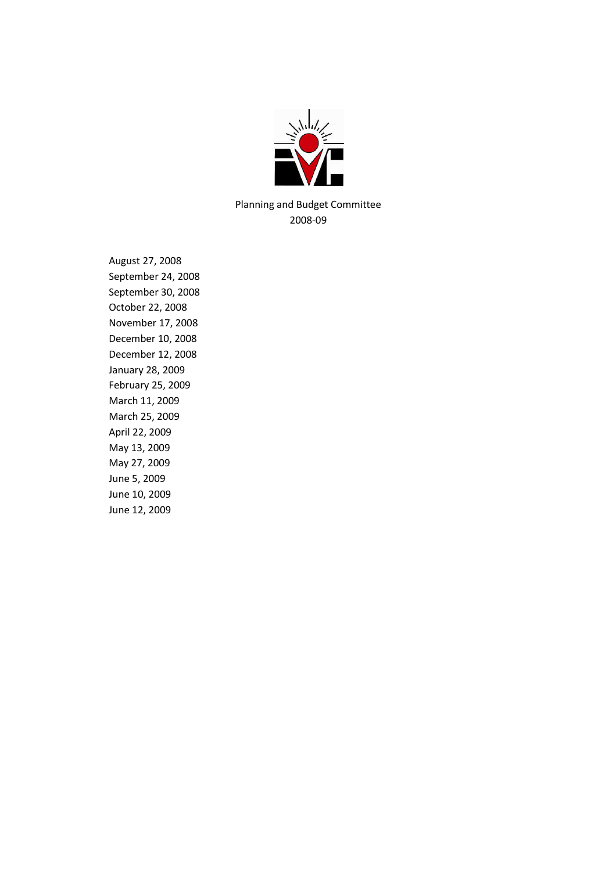

Planning and Budget Committee 2008-09

August 27, 2008 September 24, 2008 September 30, 2008 October 22, 2008 November 17, 2008 December 10, 2008 December 12, 2008 January 28, 2009 February 25, 2009 March 11, 2009 March 25, 2009 April 22, 2009 May 13, 2009 May 27, 2009 June 5, 2009 June 10, 2009 June 12, 2009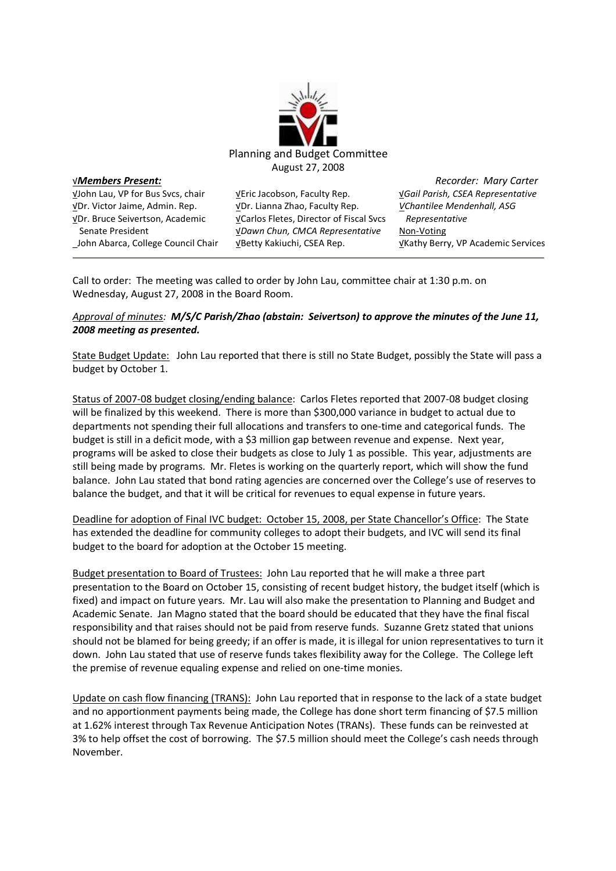

|                                                | Recorder: Mary Carter                    |
|------------------------------------------------|------------------------------------------|
| VEric Jacobson, Faculty Rep.                   | <b>VGail Parish, CSEA Representative</b> |
| VDr. Lianna Zhao, Faculty Rep.                 | VChantilee Mendenhall, ASG               |
| <b>VCarlos Fletes, Director of Fiscal Svcs</b> | Representative                           |
| <b>VDawn Chun, CMCA Representative</b>         | Non-Voting                               |
| VBetty Kakiuchi, CSEA Rep.                     | VKathy Berry, VP Academic Services       |
|                                                |                                          |

Call to order: The meeting was called to order by John Lau, committee chair at 1:30 p.m. on Wednesday, August 27, 2008 in the Board Room.

#### *Approval of minutes: M/S/C Parish/Zhao (abstain: Seivertson) to approve the minutes of the June 11, 2008 meeting as presented.*

State Budget Update: John Lau reported that there is still no State Budget, possibly the State will pass a budget by October 1.

Status of 2007-08 budget closing/ending balance: Carlos Fletes reported that 2007-08 budget closing will be finalized by this weekend. There is more than \$300,000 variance in budget to actual due to departments not spending their full allocations and transfers to one-time and categorical funds. The budget is still in a deficit mode, with a \$3 million gap between revenue and expense. Next year, programs will be asked to close their budgets as close to July 1 as possible. This year, adjustments are still being made by programs. Mr. Fletes is working on the quarterly report, which will show the fund balance. John Lau stated that bond rating agencies are concerned over the College's use of reserves to balance the budget, and that it will be critical for revenues to equal expense in future years.

Deadline for adoption of Final IVC budget: October 15, 2008, per State Chancellor's Office: The State has extended the deadline for community colleges to adopt their budgets, and IVC will send its final budget to the board for adoption at the October 15 meeting.

Budget presentation to Board of Trustees: John Lau reported that he will make a three part presentation to the Board on October 15, consisting of recent budget history, the budget itself (which is fixed) and impact on future years. Mr. Lau will also make the presentation to Planning and Budget and Academic Senate. Jan Magno stated that the board should be educated that they have the final fiscal responsibility and that raises should not be paid from reserve funds. Suzanne Gretz stated that unions should not be blamed for being greedy; if an offer is made, it is illegal for union representatives to turn it down. John Lau stated that use of reserve funds takes flexibility away for the College. The College left the premise of revenue equaling expense and relied on one-time monies.

Update on cash flow financing (TRANS): John Lau reported that in response to the lack of a state budget and no apportionment payments being made, the College has done short term financing of \$7.5 million at 1.62% interest through Tax Revenue Anticipation Notes (TRANs). These funds can be reinvested at 3% to help offset the cost of borrowing. The \$7.5 million should meet the College's cash needs through November.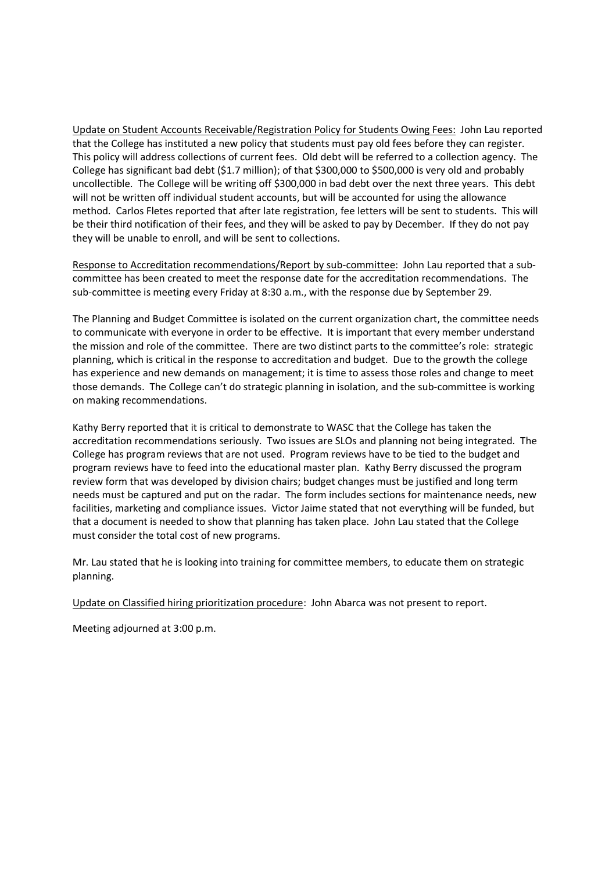Update on Student Accounts Receivable/Registration Policy for Students Owing Fees: John Lau reported that the College has instituted a new policy that students must pay old fees before they can register. This policy will address collections of current fees. Old debt will be referred to a collection agency. The College has significant bad debt (\$1.7 million); of that \$300,000 to \$500,000 is very old and probably uncollectible. The College will be writing off \$300,000 in bad debt over the next three years. This debt will not be written off individual student accounts, but will be accounted for using the allowance method. Carlos Fletes reported that after late registration, fee letters will be sent to students. This will be their third notification of their fees, and they will be asked to pay by December. If they do not pay they will be unable to enroll, and will be sent to collections.

Response to Accreditation recommendations/Report by sub-committee: John Lau reported that a subcommittee has been created to meet the response date for the accreditation recommendations. The sub-committee is meeting every Friday at 8:30 a.m., with the response due by September 29.

The Planning and Budget Committee is isolated on the current organization chart, the committee needs to communicate with everyone in order to be effective. It is important that every member understand the mission and role of the committee. There are two distinct parts to the committee's role: strategic planning, which is critical in the response to accreditation and budget. Due to the growth the college has experience and new demands on management; it is time to assess those roles and change to meet those demands. The College can't do strategic planning in isolation, and the sub-committee is working on making recommendations.

Kathy Berry reported that it is critical to demonstrate to WASC that the College has taken the accreditation recommendations seriously. Two issues are SLOs and planning not being integrated. The College has program reviews that are not used. Program reviews have to be tied to the budget and program reviews have to feed into the educational master plan. Kathy Berry discussed the program review form that was developed by division chairs; budget changes must be justified and long term needs must be captured and put on the radar. The form includes sections for maintenance needs, new facilities, marketing and compliance issues. Victor Jaime stated that not everything will be funded, but that a document is needed to show that planning has taken place. John Lau stated that the College must consider the total cost of new programs.

Mr. Lau stated that he is looking into training for committee members, to educate them on strategic planning.

Update on Classified hiring prioritization procedure: John Abarca was not present to report.

Meeting adjourned at 3:00 p.m.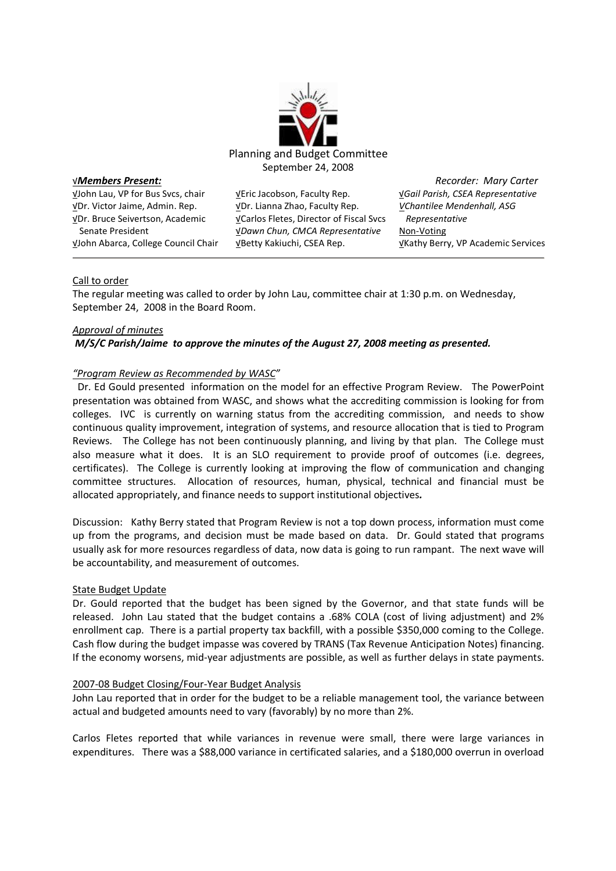

√John Lau, VP for Bus Svcs, chair √Dr. Victor Jaime, Admin. Rep. √Dr. Bruce Seivertson, Academic Senate President √John Abarca, College Council Chair

√Eric Jacobson, Faculty Rep. √Dr. Lianna Zhao, Faculty Rep. √Carlos Fletes, Director of Fiscal Svcs √*Dawn Chun, CMCA Representative* √Betty Kakiuchi, CSEA Rep.

√*Members Present: Recorder: Mary Carter* √*Gail Parish, CSEA Representative VChantilee Mendenhall, ASG Representative* Non-Voting √Kathy Berry, VP Academic Services

### Call to order

The regular meeting was called to order by John Lau, committee chair at 1:30 p.m. on Wednesday, September 24, 2008 in the Board Room.

#### *Approval of minutes M/S/C Parish/Jaime to approve the minutes of the August 27, 2008 meeting as presented.*

### *"Program Review as Recommended by WASC"*

Dr. Ed Gould presented information on the model for an effective Program Review. The PowerPoint presentation was obtained from WASC, and shows what the accrediting commission is looking for from colleges. IVC is currently on warning status from the accrediting commission, and needs to show continuous quality improvement, integration of systems, and resource allocation that is tied to Program Reviews. The College has not been continuously planning, and living by that plan. The College must also measure what it does. It is an SLO requirement to provide proof of outcomes (i.e. degrees, certificates). The College is currently looking at improving the flow of communication and changing committee structures. Allocation of resources, human, physical, technical and financial must be allocated appropriately, and finance needs to support institutional objectives*.*

Discussion: Kathy Berry stated that Program Review is not a top down process, information must come up from the programs, and decision must be made based on data. Dr. Gould stated that programs usually ask for more resources regardless of data, now data is going to run rampant. The next wave will be accountability, and measurement of outcomes.

#### State Budget Update

Dr. Gould reported that the budget has been signed by the Governor, and that state funds will be released. John Lau stated that the budget contains a .68% COLA (cost of living adjustment) and 2% enrollment cap. There is a partial property tax backfill, with a possible \$350,000 coming to the College. Cash flow during the budget impasse was covered by TRANS (Tax Revenue Anticipation Notes) financing. If the economy worsens, mid-year adjustments are possible, as well as further delays in state payments.

#### 2007-08 Budget Closing/Four-Year Budget Analysis

John Lau reported that in order for the budget to be a reliable management tool, the variance between actual and budgeted amounts need to vary (favorably) by no more than 2%.

Carlos Fletes reported that while variances in revenue were small, there were large variances in expenditures. There was a \$88,000 variance in certificated salaries, and a \$180,000 overrun in overload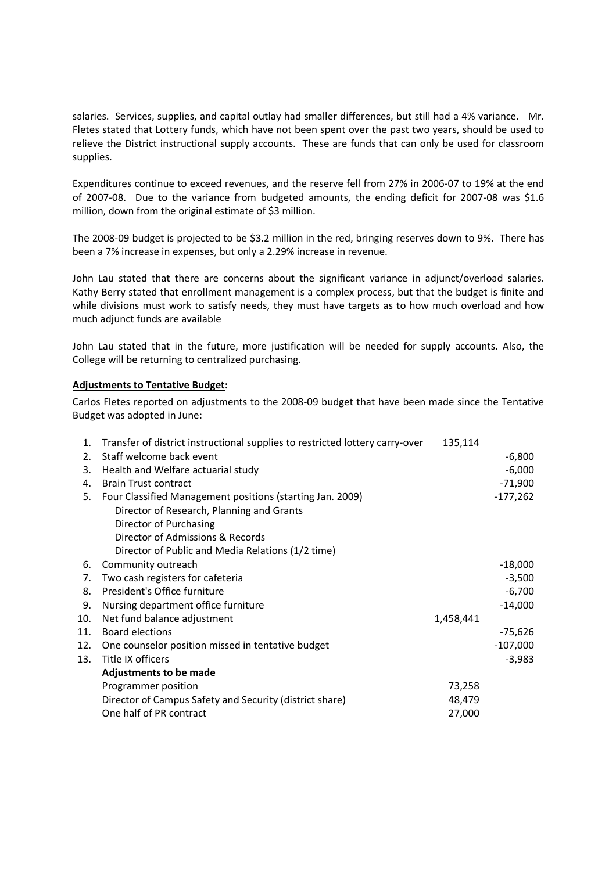salaries. Services, supplies, and capital outlay had smaller differences, but still had a 4% variance. Mr. Fletes stated that Lottery funds, which have not been spent over the past two years, should be used to relieve the District instructional supply accounts. These are funds that can only be used for classroom supplies.

Expenditures continue to exceed revenues, and the reserve fell from 27% in 2006-07 to 19% at the end of 2007-08. Due to the variance from budgeted amounts, the ending deficit for 2007-08 was \$1.6 million, down from the original estimate of \$3 million.

The 2008-09 budget is projected to be \$3.2 million in the red, bringing reserves down to 9%. There has been a 7% increase in expenses, but only a 2.29% increase in revenue.

John Lau stated that there are concerns about the significant variance in adjunct/overload salaries. Kathy Berry stated that enrollment management is a complex process, but that the budget is finite and while divisions must work to satisfy needs, they must have targets as to how much overload and how much adjunct funds are available

John Lau stated that in the future, more justification will be needed for supply accounts. Also, the College will be returning to centralized purchasing.

#### **Adjustments to Tentative Budget:**

Carlos Fletes reported on adjustments to the 2008-09 budget that have been made since the Tentative Budget was adopted in June:

| 1.  | Transfer of district instructional supplies to restricted lottery carry-over | 135,114   |            |
|-----|------------------------------------------------------------------------------|-----------|------------|
| 2.  | Staff welcome back event                                                     |           | $-6,800$   |
| 3.  | Health and Welfare actuarial study                                           |           | $-6,000$   |
| 4.  | <b>Brain Trust contract</b>                                                  |           | $-71,900$  |
| 5.  | Four Classified Management positions (starting Jan. 2009)                    |           | $-177,262$ |
|     | Director of Research, Planning and Grants                                    |           |            |
|     | Director of Purchasing                                                       |           |            |
|     | Director of Admissions & Records                                             |           |            |
|     | Director of Public and Media Relations (1/2 time)                            |           |            |
| 6.  | Community outreach                                                           |           | $-18,000$  |
| 7.  | Two cash registers for cafeteria                                             |           | $-3,500$   |
| 8.  | President's Office furniture                                                 |           | $-6,700$   |
| 9.  | Nursing department office furniture                                          |           | $-14,000$  |
| 10. | Net fund balance adjustment                                                  | 1,458,441 |            |
| 11. | <b>Board elections</b>                                                       |           | $-75,626$  |
| 12. | One counselor position missed in tentative budget                            |           | $-107,000$ |
| 13. | Title IX officers                                                            |           | $-3,983$   |
|     | <b>Adjustments to be made</b>                                                |           |            |
|     | Programmer position                                                          | 73,258    |            |
|     | Director of Campus Safety and Security (district share)                      | 48,479    |            |
|     | One half of PR contract                                                      | 27,000    |            |
|     |                                                                              |           |            |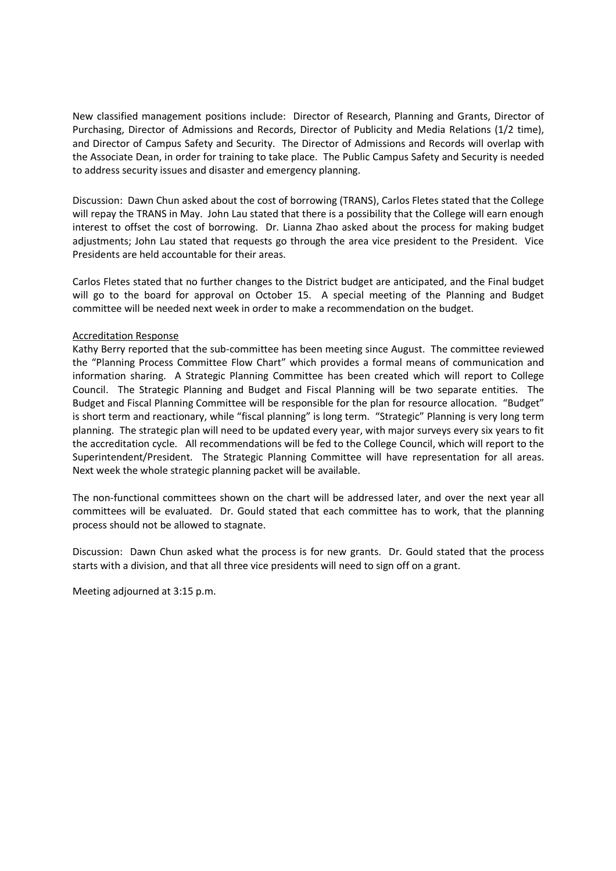New classified management positions include: Director of Research, Planning and Grants, Director of Purchasing, Director of Admissions and Records, Director of Publicity and Media Relations (1/2 time), and Director of Campus Safety and Security. The Director of Admissions and Records will overlap with the Associate Dean, in order for training to take place. The Public Campus Safety and Security is needed to address security issues and disaster and emergency planning.

Discussion: Dawn Chun asked about the cost of borrowing (TRANS), Carlos Fletes stated that the College will repay the TRANS in May. John Lau stated that there is a possibility that the College will earn enough interest to offset the cost of borrowing. Dr. Lianna Zhao asked about the process for making budget adjustments; John Lau stated that requests go through the area vice president to the President. Vice Presidents are held accountable for their areas.

Carlos Fletes stated that no further changes to the District budget are anticipated, and the Final budget will go to the board for approval on October 15. A special meeting of the Planning and Budget committee will be needed next week in order to make a recommendation on the budget.

#### Accreditation Response

Kathy Berry reported that the sub-committee has been meeting since August. The committee reviewed the "Planning Process Committee Flow Chart" which provides a formal means of communication and information sharing. A Strategic Planning Committee has been created which will report to College Council. The Strategic Planning and Budget and Fiscal Planning will be two separate entities. The Budget and Fiscal Planning Committee will be responsible for the plan for resource allocation. "Budget" is short term and reactionary, while "fiscal planning" is long term. "Strategic" Planning is very long term planning. The strategic plan will need to be updated every year, with major surveys every six years to fit the accreditation cycle. All recommendations will be fed to the College Council, which will report to the Superintendent/President. The Strategic Planning Committee will have representation for all areas. Next week the whole strategic planning packet will be available.

The non-functional committees shown on the chart will be addressed later, and over the next year all committees will be evaluated. Dr. Gould stated that each committee has to work, that the planning process should not be allowed to stagnate.

Discussion: Dawn Chun asked what the process is for new grants. Dr. Gould stated that the process starts with a division, and that all three vice presidents will need to sign off on a grant.

Meeting adjourned at 3:15 p.m.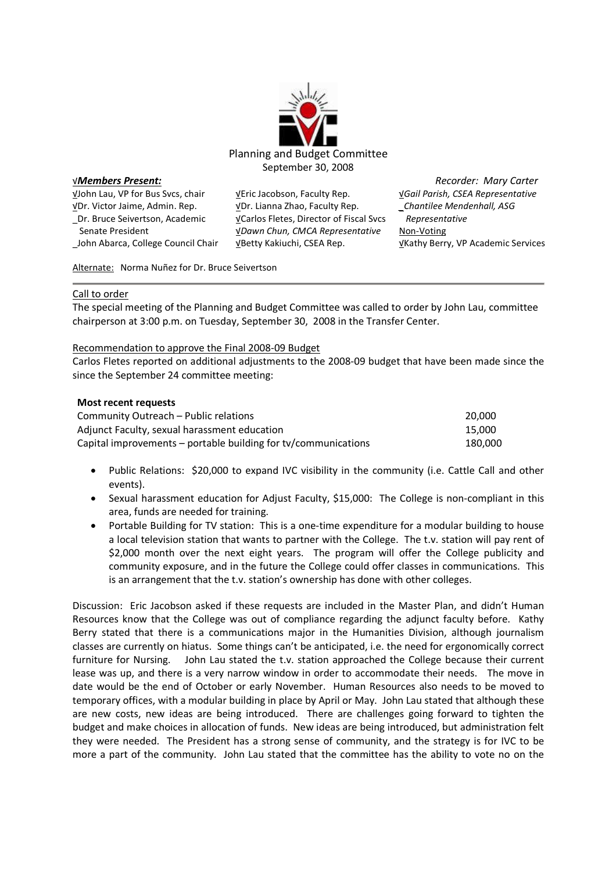

√John Lau, VP for Bus Svcs, chair √Dr. Victor Jaime, Admin. Rep. \_Dr. Bruce Seivertson, Academic Senate President \_John Abarca, College Council Chair

√Eric Jacobson, Faculty Rep. √Dr. Lianna Zhao, Faculty Rep. √Carlos Fletes, Director of Fiscal Svcs √*Dawn Chun, CMCA Representative* √Betty Kakiuchi, CSEA Rep.

√*Members Present: Recorder: Mary Carter* √*Gail Parish, CSEA Representative \_Chantilee Mendenhall, ASG Representative* Non-Voting √Kathy Berry, VP Academic Services

Alternate: Norma Nuñez for Dr. Bruce Seivertson

#### Call to order

The special meeting of the Planning and Budget Committee was called to order by John Lau, committee chairperson at 3:00 p.m. on Tuesday, September 30, 2008 in the Transfer Center.

#### Recommendation to approve the Final 2008-09 Budget

Carlos Fletes reported on additional adjustments to the 2008-09 budget that have been made since the since the September 24 committee meeting:

#### **Most recent requests**

| Community Outreach – Public relations                          | 20,000  |
|----------------------------------------------------------------|---------|
| Adjunct Faculty, sexual harassment education                   | 15.000  |
| Capital improvements - portable building for tv/communications | 180.000 |

- Public Relations: \$20,000 to expand IVC visibility in the community (i.e. Cattle Call and other events).
- Sexual harassment education for Adjust Faculty, \$15,000: The College is non-compliant in this area, funds are needed for training.
- Portable Building for TV station: This is a one-time expenditure for a modular building to house a local television station that wants to partner with the College. The t.v. station will pay rent of \$2,000 month over the next eight years. The program will offer the College publicity and community exposure, and in the future the College could offer classes in communications. This is an arrangement that the t.v. station's ownership has done with other colleges.

Discussion: Eric Jacobson asked if these requests are included in the Master Plan, and didn't Human Resources know that the College was out of compliance regarding the adjunct faculty before. Kathy Berry stated that there is a communications major in the Humanities Division, although journalism classes are currently on hiatus. Some things can't be anticipated, i.e. the need for ergonomically correct furniture for Nursing. John Lau stated the t.v. station approached the College because their current lease was up, and there is a very narrow window in order to accommodate their needs. The move in date would be the end of October or early November. Human Resources also needs to be moved to temporary offices, with a modular building in place by April or May. John Lau stated that although these are new costs, new ideas are being introduced. There are challenges going forward to tighten the budget and make choices in allocation of funds. New ideas are being introduced, but administration felt they were needed. The President has a strong sense of community, and the strategy is for IVC to be more a part of the community. John Lau stated that the committee has the ability to vote no on the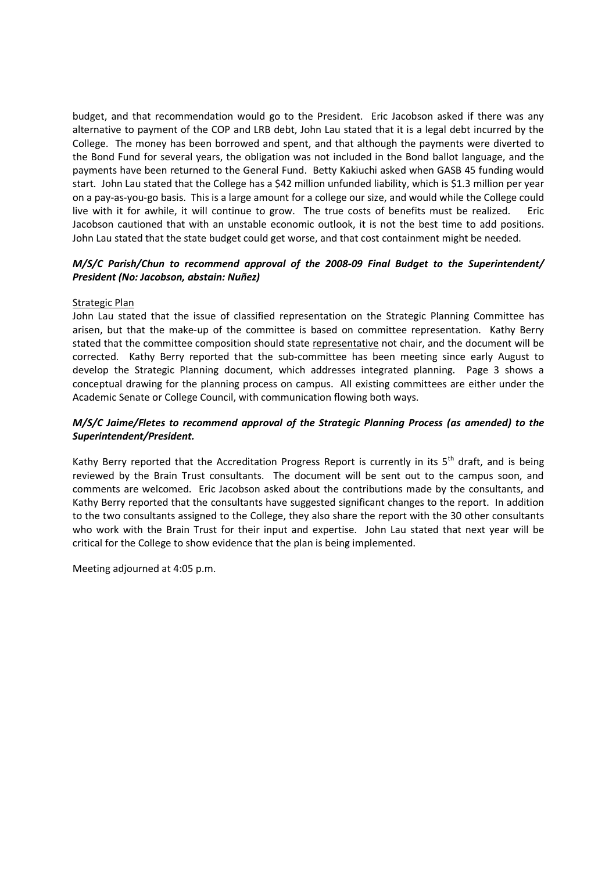budget, and that recommendation would go to the President. Eric Jacobson asked if there was any alternative to payment of the COP and LRB debt, John Lau stated that it is a legal debt incurred by the College. The money has been borrowed and spent, and that although the payments were diverted to the Bond Fund for several years, the obligation was not included in the Bond ballot language, and the payments have been returned to the General Fund. Betty Kakiuchi asked when GASB 45 funding would start. John Lau stated that the College has a \$42 million unfunded liability, which is \$1.3 million per year on a pay-as-you-go basis. This is a large amount for a college our size, and would while the College could live with it for awhile, it will continue to grow. The true costs of benefits must be realized. Eric Jacobson cautioned that with an unstable economic outlook, it is not the best time to add positions. John Lau stated that the state budget could get worse, and that cost containment might be needed.

### *M/S/C Parish/Chun to recommend approval of the 2008-09 Final Budget to the Superintendent/ President (No: Jacobson, abstain: Nuñez)*

#### Strategic Plan

John Lau stated that the issue of classified representation on the Strategic Planning Committee has arisen, but that the make-up of the committee is based on committee representation. Kathy Berry stated that the committee composition should state representative not chair, and the document will be corrected. Kathy Berry reported that the sub-committee has been meeting since early August to develop the Strategic Planning document, which addresses integrated planning. Page 3 shows a conceptual drawing for the planning process on campus. All existing committees are either under the Academic Senate or College Council, with communication flowing both ways.

#### *M/S/C Jaime/Fletes to recommend approval of the Strategic Planning Process (as amended) to the Superintendent/President.*

Kathy Berry reported that the Accreditation Progress Report is currently in its 5<sup>th</sup> draft, and is being reviewed by the Brain Trust consultants. The document will be sent out to the campus soon, and comments are welcomed. Eric Jacobson asked about the contributions made by the consultants, and Kathy Berry reported that the consultants have suggested significant changes to the report. In addition to the two consultants assigned to the College, they also share the report with the 30 other consultants who work with the Brain Trust for their input and expertise. John Lau stated that next year will be critical for the College to show evidence that the plan is being implemented.

Meeting adjourned at 4:05 p.m.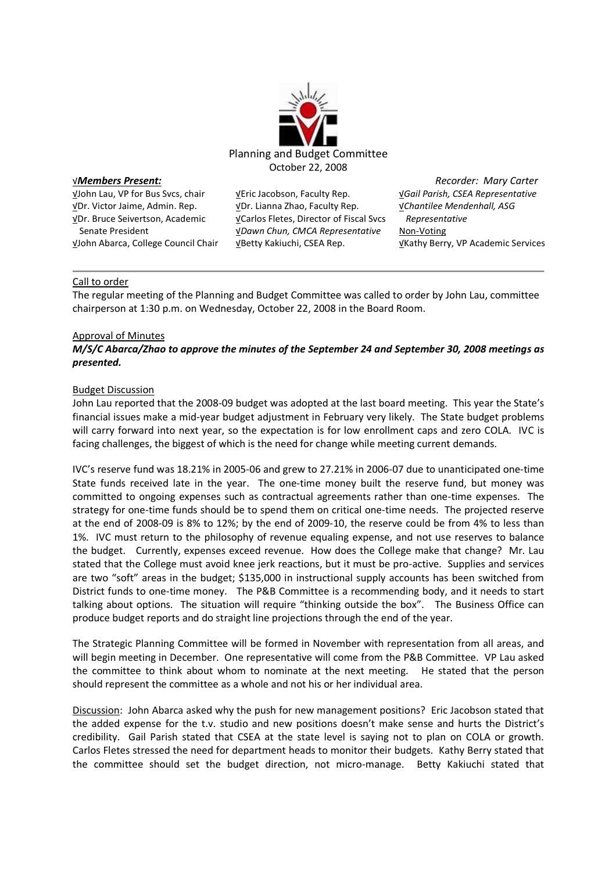

√John Lau, VP for Bus Svcs, chair √Dr. Victor Jaime, Admin. Rep. √Dr. Bruce Seivertson, Academic Senate President √John Abarca, College Council Chair

√Eric Jacobson, Faculty Rep. √Dr. Lianna Zhao, Faculty Rep. √Carlos Fletes, Director of Fiscal Svcs √*Dawn Chun, CMCA Representative* √Betty Kakiuchi, CSEA Rep.

√*Members Present: Recorder: Mary Carter* √*Gail Parish, CSEA Representative* √*Chantilee Mendenhall, ASG Representative* Non-Voting √Kathy Berry, VP Academic Services

#### Call to order

The regular meeting of the Planning and Budget Committee was called to order by John Lau, committee chairperson at 1:30 p.m. on Wednesday, October 22, 2008 in the Board Room.

#### Approval of Minutes

*M/S/C Abarca/Zhao to approve the minutes of the September 24 and September 30, 2008 meetings as presented.*

#### Budget Discussion

John Lau reported that the 2008-09 budget was adopted at the last board meeting. This year the State's financial issues make a mid-year budget adjustment in February very likely. The State budget problems will carry forward into next year, so the expectation is for low enrollment caps and zero COLA. IVC is facing challenges, the biggest of which is the need for change while meeting current demands.

IVC's reserve fund was 18.21% in 2005-06 and grew to 27.21% in 2006-07 due to unanticipated one-time State funds received late in the year. The one-time money built the reserve fund, but money was committed to ongoing expenses such as contractual agreements rather than one-time expenses. The strategy for one-time funds should be to spend them on critical one-time needs. The projected reserve at the end of 2008-09 is 8% to 12%; by the end of 2009-10, the reserve could be from 4% to less than 1%. IVC must return to the philosophy of revenue equaling expense, and not use reserves to balance the budget. Currently, expenses exceed revenue. How does the College make that change? Mr. Lau stated that the College must avoid knee jerk reactions, but it must be pro-active. Supplies and services are two "soft" areas in the budget; \$135,000 in instructional supply accounts has been switched from District funds to one-time money. The P&B Committee is a recommending body, and it needs to start talking about options. The situation will require "thinking outside the box". The Business Office can produce budget reports and do straight line projections through the end of the year.

The Strategic Planning Committee will be formed in November with representation from all areas, and will begin meeting in December. One representative will come from the P&B Committee. VP Lau asked the committee to think about whom to nominate at the next meeting. He stated that the person should represent the committee as a whole and not his or her individual area.

Discussion: John Abarca asked why the push for new management positions? Eric Jacobson stated that the added expense for the t.v. studio and new positions doesn't make sense and hurts the District's credibility. Gail Parish stated that CSEA at the state level is saying not to plan on COLA or growth. Carlos Fletes stressed the need for department heads to monitor their budgets. Kathy Berry stated that the committee should set the budget direction, not micro-manage. Betty Kakiuchi stated that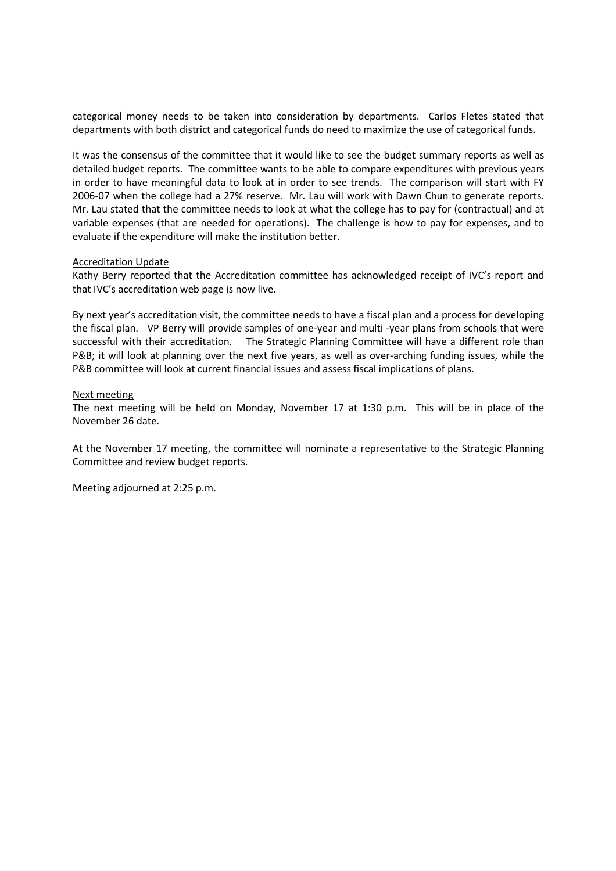categorical money needs to be taken into consideration by departments. Carlos Fletes stated that departments with both district and categorical funds do need to maximize the use of categorical funds.

It was the consensus of the committee that it would like to see the budget summary reports as well as detailed budget reports. The committee wants to be able to compare expenditures with previous years in order to have meaningful data to look at in order to see trends. The comparison will start with FY 2006-07 when the college had a 27% reserve. Mr. Lau will work with Dawn Chun to generate reports. Mr. Lau stated that the committee needs to look at what the college has to pay for (contractual) and at variable expenses (that are needed for operations). The challenge is how to pay for expenses, and to evaluate if the expenditure will make the institution better.

#### Accreditation Update

Kathy Berry reported that the Accreditation committee has acknowledged receipt of IVC's report and that IVC's accreditation web page is now live.

By next year's accreditation visit, the committee needs to have a fiscal plan and a process for developing the fiscal plan. VP Berry will provide samples of one-year and multi -year plans from schools that were successful with their accreditation. The Strategic Planning Committee will have a different role than P&B; it will look at planning over the next five years, as well as over-arching funding issues, while the P&B committee will look at current financial issues and assess fiscal implications of plans.

#### Next meeting

The next meeting will be held on Monday, November 17 at 1:30 p.m. This will be in place of the November 26 date.

At the November 17 meeting, the committee will nominate a representative to the Strategic Planning Committee and review budget reports.

Meeting adjourned at 2:25 p.m.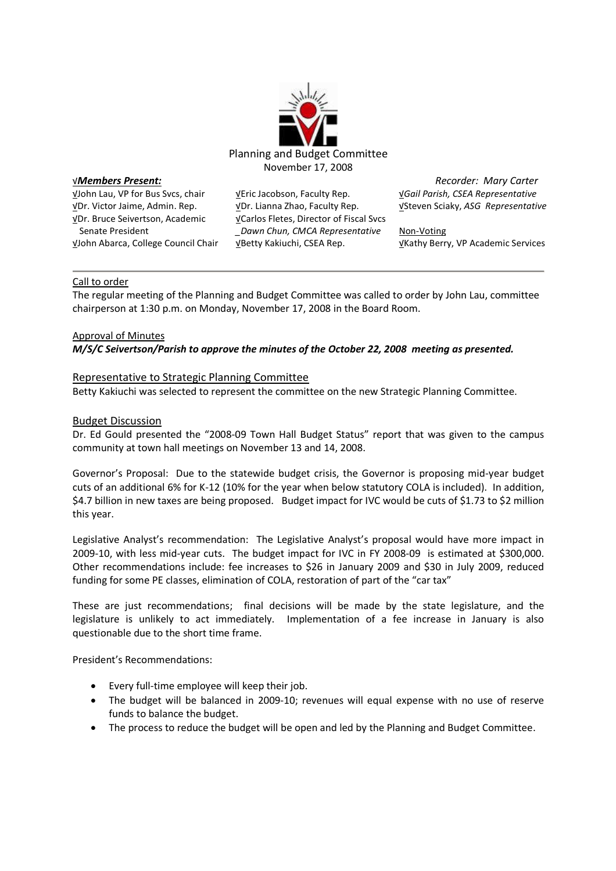

√John Lau, VP for Bus Svcs, chair √Dr. Victor Jaime, Admin. Rep. √Dr. Bruce Seivertson, Academic Senate President √John Abarca, College Council Chair

√Eric Jacobson, Faculty Rep. √Dr. Lianna Zhao, Faculty Rep. √Carlos Fletes, Director of Fiscal Svcs *\_Dawn Chun, CMCA Representative* √Betty Kakiuchi, CSEA Rep.

√*Members Present: Recorder: Mary Carter* √*Gail Parish, CSEA Representative* √Steven Sciaky, *ASG Representative*

> Non-Voting √Kathy Berry, VP Academic Services

### Call to order

The regular meeting of the Planning and Budget Committee was called to order by John Lau, committee chairperson at 1:30 p.m. on Monday, November 17, 2008 in the Board Room.

### Approval of Minutes *M/S/C Seivertson/Parish to approve the minutes of the October 22, 2008 meeting as presented.*

#### Representative to Strategic Planning Committee

Betty Kakiuchi was selected to represent the committee on the new Strategic Planning Committee.

#### Budget Discussion

Dr. Ed Gould presented the "2008-09 Town Hall Budget Status" report that was given to the campus community at town hall meetings on November 13 and 14, 2008.

Governor's Proposal: Due to the statewide budget crisis, the Governor is proposing mid-year budget cuts of an additional 6% for K-12 (10% for the year when below statutory COLA is included). In addition, \$4.7 billion in new taxes are being proposed. Budget impact for IVC would be cuts of \$1.73 to \$2 million this year.

Legislative Analyst's recommendation: The Legislative Analyst's proposal would have more impact in 2009-10, with less mid-year cuts. The budget impact for IVC in FY 2008-09 is estimated at \$300,000. Other recommendations include: fee increases to \$26 in January 2009 and \$30 in July 2009, reduced funding for some PE classes, elimination of COLA, restoration of part of the "car tax"

These are just recommendations; final decisions will be made by the state legislature, and the legislature is unlikely to act immediately. Implementation of a fee increase in January is also questionable due to the short time frame.

President's Recommendations:

- Every full-time employee will keep their job.
- The budget will be balanced in 2009-10; revenues will equal expense with no use of reserve funds to balance the budget.
- The process to reduce the budget will be open and led by the Planning and Budget Committee.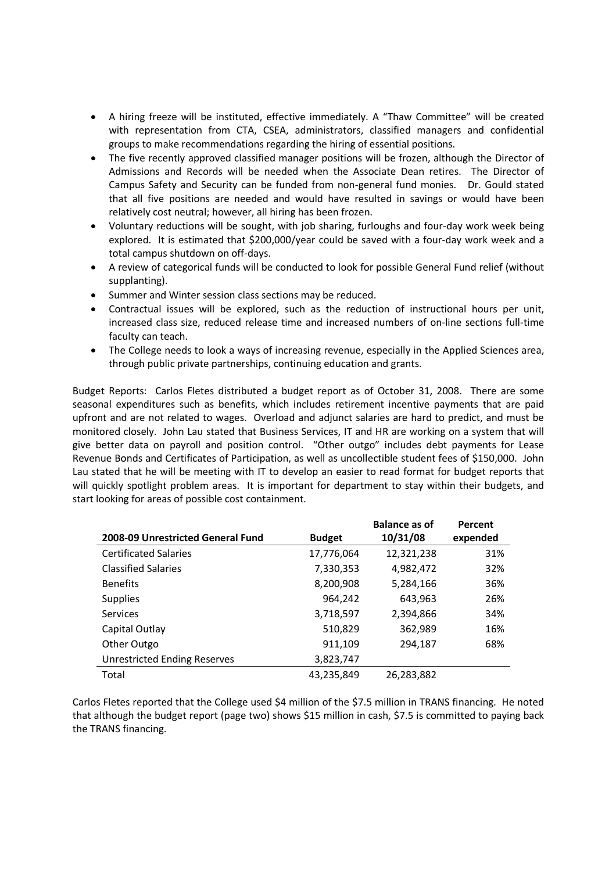- A hiring freeze will be instituted, effective immediately. A "Thaw Committee" will be created with representation from CTA, CSEA, administrators, classified managers and confidential groups to make recommendations regarding the hiring of essential positions.
- The five recently approved classified manager positions will be frozen, although the Director of Admissions and Records will be needed when the Associate Dean retires. The Director of Campus Safety and Security can be funded from non-general fund monies. Dr. Gould stated that all five positions are needed and would have resulted in savings or would have been relatively cost neutral; however, all hiring has been frozen.
- Voluntary reductions will be sought, with job sharing, furloughs and four-day work week being explored. It is estimated that \$200,000/year could be saved with a four-day work week and a total campus shutdown on off-days.
- A review of categorical funds will be conducted to look for possible General Fund relief (without supplanting).
- Summer and Winter session class sections may be reduced.
- Contractual issues will be explored, such as the reduction of instructional hours per unit, increased class size, reduced release time and increased numbers of on-line sections full-time faculty can teach.
- The College needs to look a ways of increasing revenue, especially in the Applied Sciences area, through public private partnerships, continuing education and grants.

Budget Reports: Carlos Fletes distributed a budget report as of October 31, 2008. There are some seasonal expenditures such as benefits, which includes retirement incentive payments that are paid upfront and are not related to wages. Overload and adjunct salaries are hard to predict, and must be monitored closely. John Lau stated that Business Services, IT and HR are working on a system that will give better data on payroll and position control. "Other outgo" includes debt payments for Lease Revenue Bonds and Certificates of Participation, as well as uncollectible student fees of \$150,000. John Lau stated that he will be meeting with IT to develop an easier to read format for budget reports that will quickly spotlight problem areas. It is important for department to stay within their budgets, and start looking for areas of possible cost containment.

|                                     |               | <b>Balance as of</b> | Percent  |
|-------------------------------------|---------------|----------------------|----------|
| 2008-09 Unrestricted General Fund   | <b>Budget</b> | 10/31/08             | expended |
| <b>Certificated Salaries</b>        | 17,776,064    | 12,321,238           | 31%      |
| <b>Classified Salaries</b>          | 7,330,353     | 4,982,472            | 32%      |
| <b>Benefits</b>                     | 8,200,908     | 5,284,166            | 36%      |
| <b>Supplies</b>                     | 964,242       | 643,963              | 26%      |
| <b>Services</b>                     | 3,718,597     | 2,394,866            | 34%      |
| Capital Outlay                      | 510,829       | 362,989              | 16%      |
| Other Outgo                         | 911,109       | 294,187              | 68%      |
| <b>Unrestricted Ending Reserves</b> | 3,823,747     |                      |          |
| Total                               | 43,235,849    | 26,283,882           |          |

Carlos Fletes reported that the College used \$4 million of the \$7.5 million in TRANS financing. He noted that although the budget report (page two) shows \$15 million in cash, \$7.5 is committed to paying back the TRANS financing.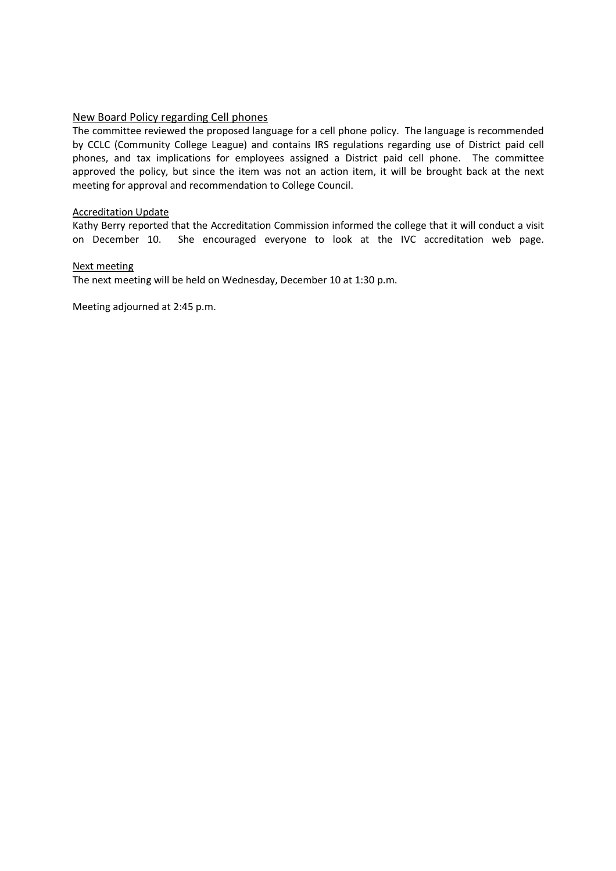## New Board Policy regarding Cell phones

The committee reviewed the proposed language for a cell phone policy. The language is recommended by CCLC (Community College League) and contains IRS regulations regarding use of District paid cell phones, and tax implications for employees assigned a District paid cell phone. The committee approved the policy, but since the item was not an action item, it will be brought back at the next meeting for approval and recommendation to College Council.

#### Accreditation Update

Kathy Berry reported that the Accreditation Commission informed the college that it will conduct a visit on December 10. She encouraged everyone to look at the IVC accreditation web page.

#### Next meeting

The next meeting will be held on Wednesday, December 10 at 1:30 p.m.

Meeting adjourned at 2:45 p.m.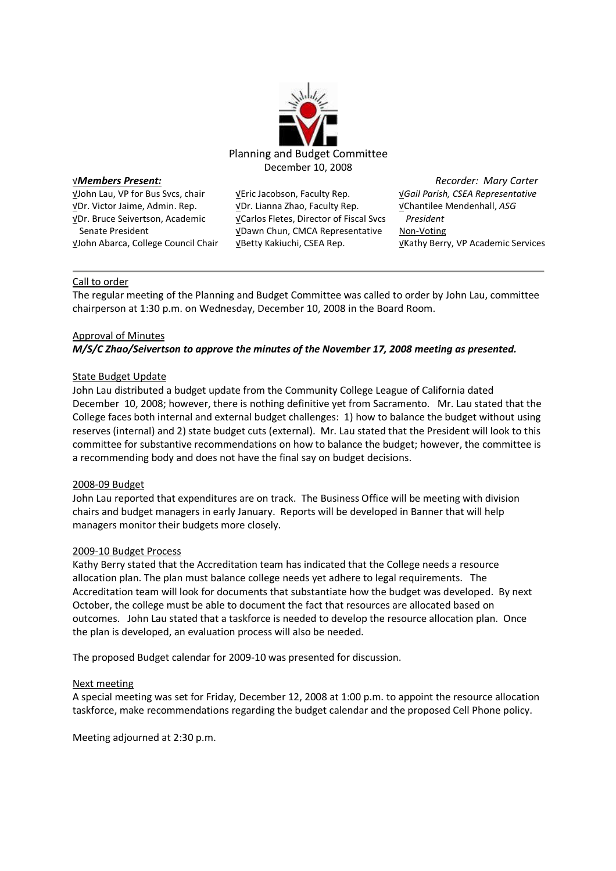

√John Lau, VP for Bus Svcs, chair √Dr. Victor Jaime, Admin. Rep. √Dr. Bruce Seivertson, Academic Senate President √John Abarca, College Council Chair

√Eric Jacobson, Faculty Rep. √Dr. Lianna Zhao, Faculty Rep. √Carlos Fletes, Director of Fiscal Svcs √Dawn Chun, CMCA Representative √Betty Kakiuchi, CSEA Rep.

√*Members Present: Recorder: Mary Carter* √*Gail Parish, CSEA Representative* √Chantilee Mendenhall, *ASG President* Non-Voting √Kathy Berry, VP Academic Services

### Call to order

The regular meeting of the Planning and Budget Committee was called to order by John Lau, committee chairperson at 1:30 p.m. on Wednesday, December 10, 2008 in the Board Room.

## Approval of Minutes *M/S/C Zhao/Seivertson to approve the minutes of the November 17, 2008 meeting as presented.*

#### State Budget Update

John Lau distributed a budget update from the Community College League of California dated December 10, 2008; however, there is nothing definitive yet from Sacramento. Mr. Lau stated that the College faces both internal and external budget challenges: 1) how to balance the budget without using reserves (internal) and 2) state budget cuts (external). Mr. Lau stated that the President will look to this committee for substantive recommendations on how to balance the budget; however, the committee is a recommending body and does not have the final say on budget decisions.

#### 2008-09 Budget

John Lau reported that expenditures are on track. The Business Office will be meeting with division chairs and budget managers in early January. Reports will be developed in Banner that will help managers monitor their budgets more closely.

#### 2009-10 Budget Process

Kathy Berry stated that the Accreditation team has indicated that the College needs a resource allocation plan. The plan must balance college needs yet adhere to legal requirements. The Accreditation team will look for documents that substantiate how the budget was developed. By next October, the college must be able to document the fact that resources are allocated based on outcomes. John Lau stated that a taskforce is needed to develop the resource allocation plan. Once the plan is developed, an evaluation process will also be needed.

The proposed Budget calendar for 2009-10 was presented for discussion.

#### Next meeting

A special meeting was set for Friday, December 12, 2008 at 1:00 p.m. to appoint the resource allocation taskforce, make recommendations regarding the budget calendar and the proposed Cell Phone policy.

Meeting adjourned at 2:30 p.m.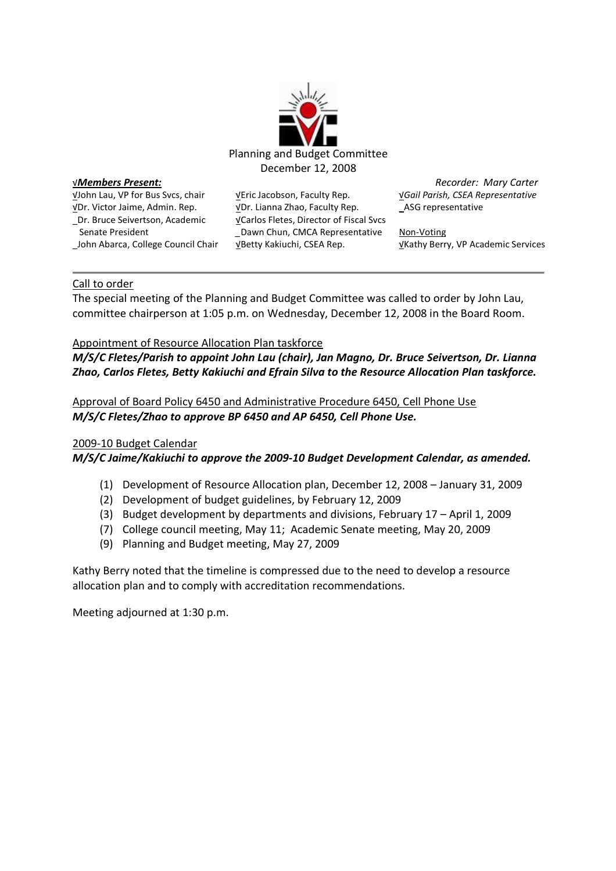

√John Lau, VP for Bus Svcs, chair √Dr. Victor Jaime, Admin. Rep. \_Dr. Bruce Seivertson, Academic Senate President \_John Abarca, College Council Chair √Eric Jacobson, Faculty Rep. √Dr. Lianna Zhao, Faculty Rep. √Carlos Fletes, Director of Fiscal Svcs *\_*Dawn Chun, CMCA Representative √Betty Kakiuchi, CSEA Rep.

√*Members Present: Recorder: Mary Carter* √*Gail Parish, CSEA Representative* \_ASG representative

> Non-Voting √Kathy Berry, VP Academic Services

## Call to order

The special meeting of the Planning and Budget Committee was called to order by John Lau, committee chairperson at 1:05 p.m. on Wednesday, December 12, 2008 in the Board Room.

### Appointment of Resource Allocation Plan taskforce

*M/S/C Fletes/Parish to appoint John Lau (chair), Jan Magno, Dr. Bruce Seivertson, Dr. Lianna Zhao, Carlos Fletes, Betty Kakiuchi and Efrain Silva to the Resource Allocation Plan taskforce.*

Approval of Board Policy 6450 and Administrative Procedure 6450, Cell Phone Use *M/S/C Fletes/Zhao to approve BP 6450 and AP 6450, Cell Phone Use.*

## 2009-10 Budget Calendar

*M/S/C Jaime/Kakiuchi to approve the 2009-10 Budget Development Calendar, as amended.*

- (1) Development of Resource Allocation plan, December 12, 2008 January 31, 2009
- (2) Development of budget guidelines, by February 12, 2009
- (3) Budget development by departments and divisions, February 17 April 1, 2009
- (7) College council meeting, May 11; Academic Senate meeting, May 20, 2009
- (9) Planning and Budget meeting, May 27, 2009

Kathy Berry noted that the timeline is compressed due to the need to develop a resource allocation plan and to comply with accreditation recommendations.

Meeting adjourned at 1:30 p.m.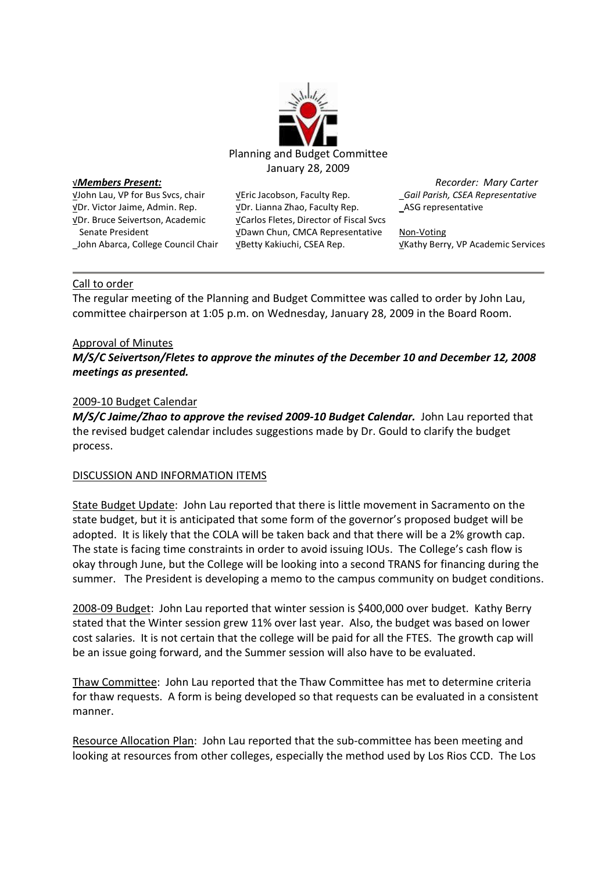

√John Lau, VP for Bus Svcs, chair √Dr. Victor Jaime, Admin. Rep. √Dr. Bruce Seivertson, Academic Senate President \_John Abarca, College Council Chair √Eric Jacobson, Faculty Rep. √Dr. Lianna Zhao, Faculty Rep. √Carlos Fletes, Director of Fiscal Svcs √Dawn Chun, CMCA Representative √Betty Kakiuchi, CSEA Rep.

√*Members Present: Recorder: Mary Carter* \_*Gail Parish, CSEA Representative* \_ASG representative

> Non-Voting √Kathy Berry, VP Academic Services

#### Call to order

The regular meeting of the Planning and Budget Committee was called to order by John Lau, committee chairperson at 1:05 p.m. on Wednesday, January 28, 2009 in the Board Room.

#### Approval of Minutes

## *M/S/C Seivertson/Fletes to approve the minutes of the December 10 and December 12, 2008 meetings as presented.*

#### 2009-10 Budget Calendar

*M/S/C Jaime/Zhao to approve the revised 2009-10 Budget Calendar.* John Lau reported that the revised budget calendar includes suggestions made by Dr. Gould to clarify the budget process.

#### DISCUSSION AND INFORMATION ITEMS

State Budget Update: John Lau reported that there is little movement in Sacramento on the state budget, but it is anticipated that some form of the governor's proposed budget will be adopted. It is likely that the COLA will be taken back and that there will be a 2% growth cap. The state is facing time constraints in order to avoid issuing IOUs. The College's cash flow is okay through June, but the College will be looking into a second TRANS for financing during the summer. The President is developing a memo to the campus community on budget conditions.

2008-09 Budget: John Lau reported that winter session is \$400,000 over budget. Kathy Berry stated that the Winter session grew 11% over last year. Also, the budget was based on lower cost salaries. It is not certain that the college will be paid for all the FTES. The growth cap will be an issue going forward, and the Summer session will also have to be evaluated.

Thaw Committee: John Lau reported that the Thaw Committee has met to determine criteria for thaw requests. A form is being developed so that requests can be evaluated in a consistent manner.

Resource Allocation Plan: John Lau reported that the sub-committee has been meeting and looking at resources from other colleges, especially the method used by Los Rios CCD. The Los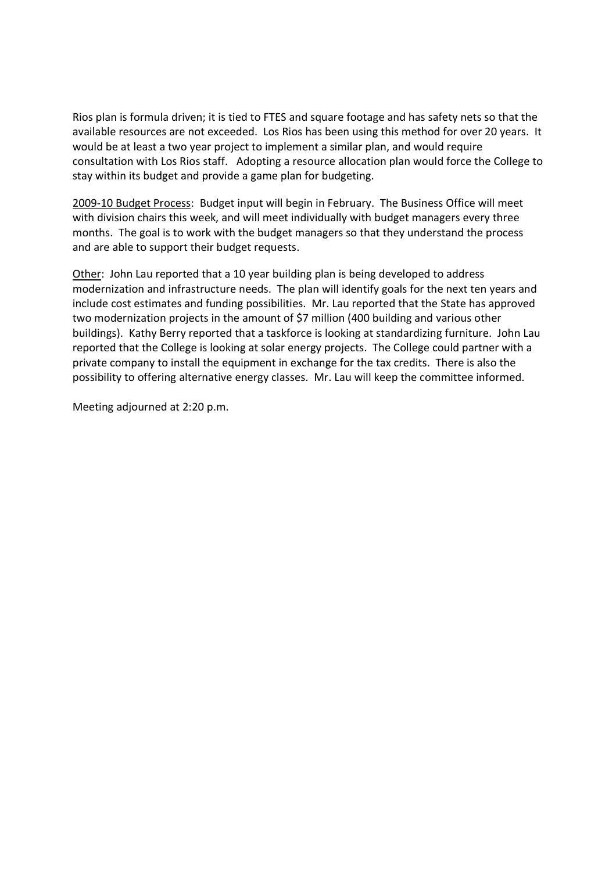Rios plan is formula driven; it is tied to FTES and square footage and has safety nets so that the available resources are not exceeded. Los Rios has been using this method for over 20 years. It would be at least a two year project to implement a similar plan, and would require consultation with Los Rios staff. Adopting a resource allocation plan would force the College to stay within its budget and provide a game plan for budgeting.

2009-10 Budget Process: Budget input will begin in February. The Business Office will meet with division chairs this week, and will meet individually with budget managers every three months. The goal is to work with the budget managers so that they understand the process and are able to support their budget requests.

Other: John Lau reported that a 10 year building plan is being developed to address modernization and infrastructure needs. The plan will identify goals for the next ten years and include cost estimates and funding possibilities. Mr. Lau reported that the State has approved two modernization projects in the amount of \$7 million (400 building and various other buildings). Kathy Berry reported that a taskforce is looking at standardizing furniture. John Lau reported that the College is looking at solar energy projects. The College could partner with a private company to install the equipment in exchange for the tax credits. There is also the possibility to offering alternative energy classes. Mr. Lau will keep the committee informed.

Meeting adjourned at 2:20 p.m.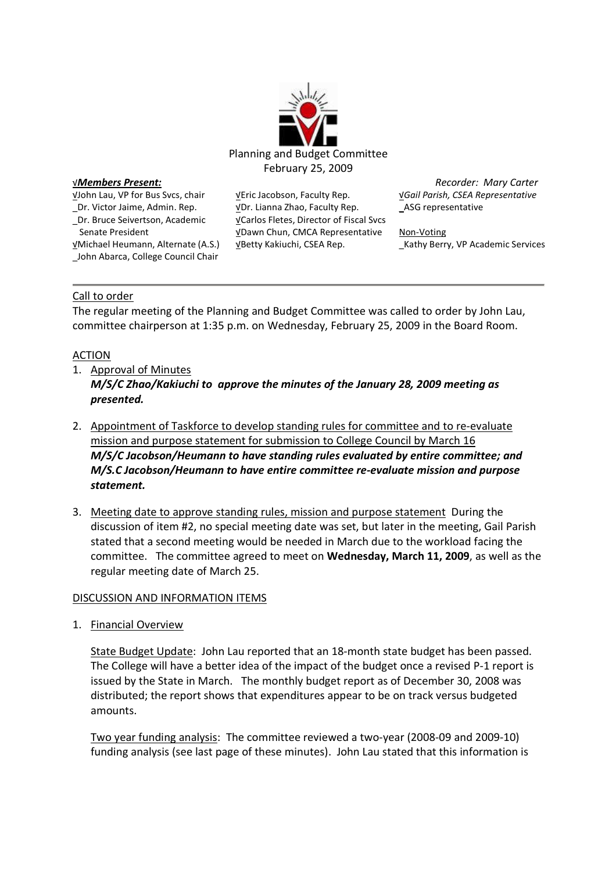

√John Lau, VP for Bus Svcs, chair \_Dr. Victor Jaime, Admin. Rep. \_Dr. Bruce Seivertson, Academic Senate President √Michael Heumann, Alternate (A.S.) \_John Abarca, College Council Chair

√Eric Jacobson, Faculty Rep. √Dr. Lianna Zhao, Faculty Rep. √Carlos Fletes, Director of Fiscal Svcs √Dawn Chun, CMCA Representative √Betty Kakiuchi, CSEA Rep.

√*Members Present: Recorder: Mary Carter* √*Gail Parish, CSEA Representative* \_ASG representative

> Non-Voting \_Kathy Berry, VP Academic Services

### Call to order

The regular meeting of the Planning and Budget Committee was called to order by John Lau, committee chairperson at 1:35 p.m. on Wednesday, February 25, 2009 in the Board Room.

## **ACTION**

- 1. Approval of Minutes *M/S/C Zhao/Kakiuchi to approve the minutes of the January 28, 2009 meeting as presented.*
- 2. Appointment of Taskforce to develop standing rules for committee and to re-evaluate mission and purpose statement for submission to College Council by March 16 *M/S/C Jacobson/Heumann to have standing rules evaluated by entire committee; and M/S.C Jacobson/Heumann to have entire committee re-evaluate mission and purpose statement.*
- 3. Meeting date to approve standing rules, mission and purpose statement During the discussion of item #2, no special meeting date was set, but later in the meeting, Gail Parish stated that a second meeting would be needed in March due to the workload facing the committee. The committee agreed to meet on **Wednesday, March 11, 2009**, as well as the regular meeting date of March 25.

#### DISCUSSION AND INFORMATION ITEMS

1. Financial Overview

State Budget Update: John Lau reported that an 18-month state budget has been passed. The College will have a better idea of the impact of the budget once a revised P-1 report is issued by the State in March. The monthly budget report as of December 30, 2008 was distributed; the report shows that expenditures appear to be on track versus budgeted amounts.

Two year funding analysis: The committee reviewed a two-year (2008-09 and 2009-10) funding analysis (see last page of these minutes). John Lau stated that this information is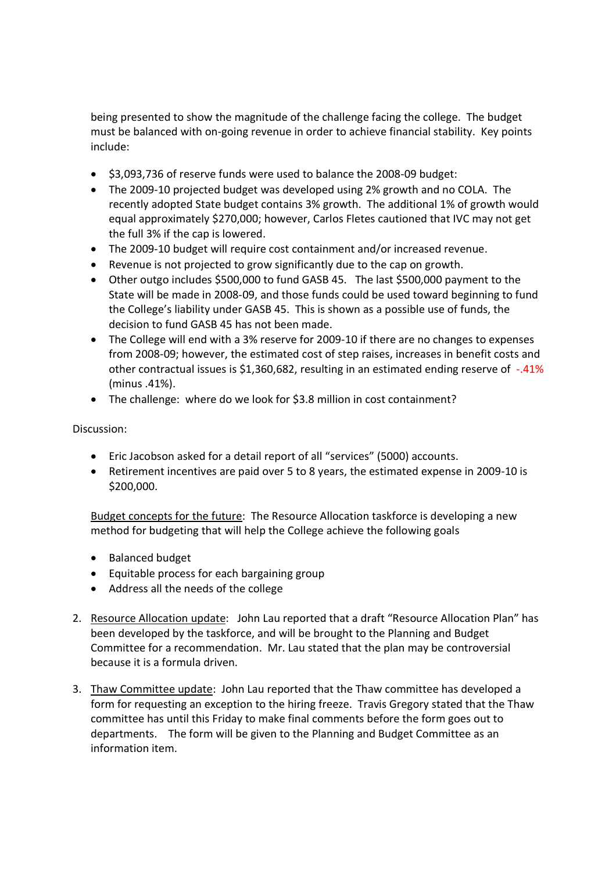being presented to show the magnitude of the challenge facing the college. The budget must be balanced with on-going revenue in order to achieve financial stability. Key points include:

- $\bullet$  \$3,093,736 of reserve funds were used to balance the 2008-09 budget:
- The 2009-10 projected budget was developed using 2% growth and no COLA. The recently adopted State budget contains 3% growth. The additional 1% of growth would equal approximately \$270,000; however, Carlos Fletes cautioned that IVC may not get the full 3% if the cap is lowered.
- The 2009-10 budget will require cost containment and/or increased revenue.
- Revenue is not projected to grow significantly due to the cap on growth.
- Other outgo includes \$500,000 to fund GASB 45. The last \$500,000 payment to the State will be made in 2008-09, and those funds could be used toward beginning to fund the College's liability under GASB 45. This is shown as a possible use of funds, the decision to fund GASB 45 has not been made.
- The College will end with a 3% reserve for 2009-10 if there are no changes to expenses from 2008-09; however, the estimated cost of step raises, increases in benefit costs and other contractual issues is \$1,360,682, resulting in an estimated ending reserve of -.41% (minus .41%).
- The challenge: where do we look for \$3.8 million in cost containment?

## Discussion:

- Eric Jacobson asked for a detail report of all "services" (5000) accounts.
- Retirement incentives are paid over 5 to 8 years, the estimated expense in 2009-10 is \$200,000.

Budget concepts for the future: The Resource Allocation taskforce is developing a new method for budgeting that will help the College achieve the following goals

- Balanced budget
- Equitable process for each bargaining group
- Address all the needs of the college
- 2. Resource Allocation update: John Lau reported that a draft "Resource Allocation Plan" has been developed by the taskforce, and will be brought to the Planning and Budget Committee for a recommendation. Mr. Lau stated that the plan may be controversial because it is a formula driven.
- 3. Thaw Committee update: John Lau reported that the Thaw committee has developed a form for requesting an exception to the hiring freeze. Travis Gregory stated that the Thaw committee has until this Friday to make final comments before the form goes out to departments. The form will be given to the Planning and Budget Committee as an information item.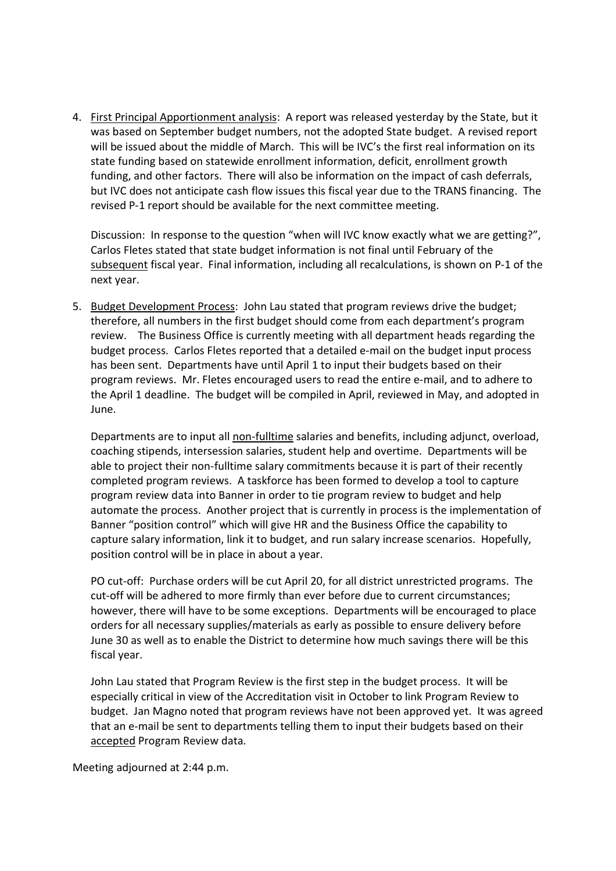4. First Principal Apportionment analysis: A report was released yesterday by the State, but it was based on September budget numbers, not the adopted State budget. A revised report will be issued about the middle of March. This will be IVC's the first real information on its state funding based on statewide enrollment information, deficit, enrollment growth funding, and other factors. There will also be information on the impact of cash deferrals, but IVC does not anticipate cash flow issues this fiscal year due to the TRANS financing. The revised P-1 report should be available for the next committee meeting.

Discussion: In response to the question "when will IVC know exactly what we are getting?", Carlos Fletes stated that state budget information is not final until February of the subsequent fiscal year. Final information, including all recalculations, is shown on P-1 of the next year.

5. Budget Development Process: John Lau stated that program reviews drive the budget; therefore, all numbers in the first budget should come from each department's program review. The Business Office is currently meeting with all department heads regarding the budget process. Carlos Fletes reported that a detailed e-mail on the budget input process has been sent. Departments have until April 1 to input their budgets based on their program reviews. Mr. Fletes encouraged users to read the entire e-mail, and to adhere to the April 1 deadline. The budget will be compiled in April, reviewed in May, and adopted in June.

Departments are to input all non-fulltime salaries and benefits, including adjunct, overload, coaching stipends, intersession salaries, student help and overtime. Departments will be able to project their non-fulltime salary commitments because it is part of their recently completed program reviews. A taskforce has been formed to develop a tool to capture program review data into Banner in order to tie program review to budget and help automate the process. Another project that is currently in process is the implementation of Banner "position control" which will give HR and the Business Office the capability to capture salary information, link it to budget, and run salary increase scenarios. Hopefully, position control will be in place in about a year.

PO cut-off: Purchase orders will be cut April 20, for all district unrestricted programs. The cut-off will be adhered to more firmly than ever before due to current circumstances; however, there will have to be some exceptions. Departments will be encouraged to place orders for all necessary supplies/materials as early as possible to ensure delivery before June 30 as well as to enable the District to determine how much savings there will be this fiscal year.

John Lau stated that Program Review is the first step in the budget process. It will be especially critical in view of the Accreditation visit in October to link Program Review to budget. Jan Magno noted that program reviews have not been approved yet. It was agreed that an e-mail be sent to departments telling them to input their budgets based on their accepted Program Review data.

Meeting adjourned at 2:44 p.m.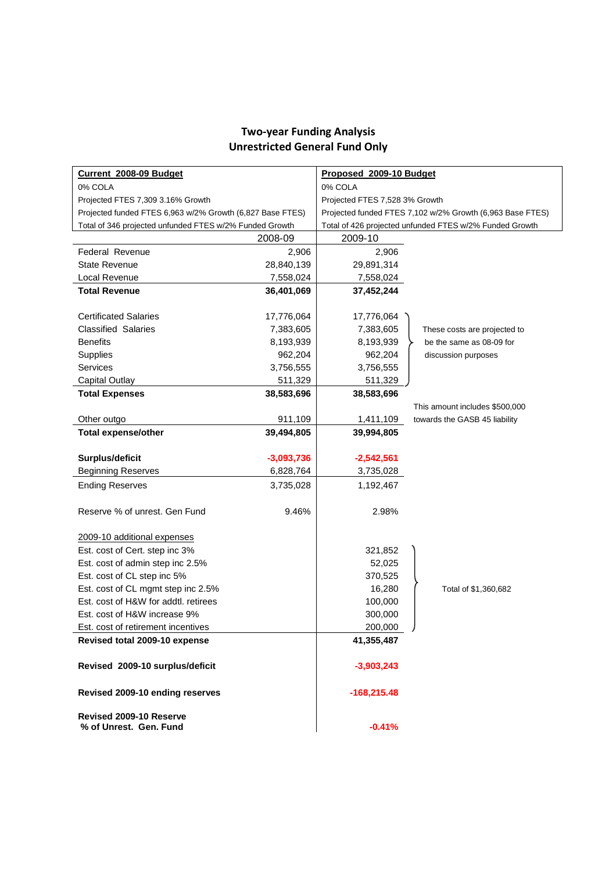| Current 2008-09 Budget                                    |              | Proposed 2009-10 Budget                                   |                                |  |  |  |  |
|-----------------------------------------------------------|--------------|-----------------------------------------------------------|--------------------------------|--|--|--|--|
| 0% COLA                                                   |              | 0% COLA                                                   |                                |  |  |  |  |
| Projected FTES 7,309 3.16% Growth                         |              | Projected FTES 7,528 3% Growth                            |                                |  |  |  |  |
| Projected funded FTES 6,963 w/2% Growth (6,827 Base FTES) |              | Projected funded FTES 7,102 w/2% Growth (6,963 Base FTES) |                                |  |  |  |  |
| Total of 346 projected unfunded FTES w/2% Funded Growth   |              | Total of 426 projected unfunded FTES w/2% Funded Growth   |                                |  |  |  |  |
|                                                           | 2008-09      | 2009-10                                                   |                                |  |  |  |  |
| <b>Federal Revenue</b>                                    | 2,906        | 2,906                                                     |                                |  |  |  |  |
| <b>State Revenue</b>                                      | 28,840,139   | 29,891,314                                                |                                |  |  |  |  |
| Local Revenue                                             | 7,558,024    | 7,558,024                                                 |                                |  |  |  |  |
| <b>Total Revenue</b>                                      | 36,401,069   | 37,452,244                                                |                                |  |  |  |  |
|                                                           |              |                                                           |                                |  |  |  |  |
| <b>Certificated Salaries</b>                              | 17,776,064   | 17,776,064                                                |                                |  |  |  |  |
| <b>Classified Salaries</b>                                | 7,383,605    | 7,383,605                                                 | These costs are projected to   |  |  |  |  |
| <b>Benefits</b>                                           | 8,193,939    | 8,193,939                                                 | be the same as 08-09 for       |  |  |  |  |
| Supplies                                                  | 962,204      | 962,204                                                   | discussion purposes            |  |  |  |  |
| <b>Services</b>                                           | 3,756,555    | 3,756,555                                                 |                                |  |  |  |  |
| <b>Capital Outlay</b>                                     | 511,329      | 511,329                                                   |                                |  |  |  |  |
| <b>Total Expenses</b>                                     | 38,583,696   | 38,583,696                                                |                                |  |  |  |  |
|                                                           |              |                                                           | This amount includes \$500,000 |  |  |  |  |
| Other outgo                                               | 911,109      | 1,411,109                                                 | towards the GASB 45 liability  |  |  |  |  |
| <b>Total expense/other</b>                                | 39,494,805   | 39,994,805                                                |                                |  |  |  |  |
|                                                           |              |                                                           |                                |  |  |  |  |
| Surplus/deficit                                           | $-3,093,736$ | $-2,542,561$                                              |                                |  |  |  |  |
| <b>Beginning Reserves</b>                                 | 6,828,764    | 3,735,028                                                 |                                |  |  |  |  |
| <b>Ending Reserves</b>                                    | 3,735,028    | 1,192,467                                                 |                                |  |  |  |  |
|                                                           |              |                                                           |                                |  |  |  |  |
| Reserve % of unrest. Gen Fund                             | 9.46%        | 2.98%                                                     |                                |  |  |  |  |
|                                                           |              |                                                           |                                |  |  |  |  |
| 2009-10 additional expenses                               |              |                                                           |                                |  |  |  |  |
| Est. cost of Cert. step inc 3%                            |              | 321,852                                                   |                                |  |  |  |  |
| Est. cost of admin step inc 2.5%                          |              | 52,025                                                    |                                |  |  |  |  |
| Est. cost of CL step inc 5%                               |              | 370,525                                                   |                                |  |  |  |  |
| Est. cost of CL mgmt step inc 2.5%                        |              | 16,280                                                    | Total of \$1,360,682           |  |  |  |  |
| Est. cost of H&W for addtl. retirees                      |              | 100,000                                                   |                                |  |  |  |  |
| Est. cost of H&W increase 9%                              |              | 300,000                                                   |                                |  |  |  |  |
| Est. cost of retirement incentives                        |              | 200,000                                                   |                                |  |  |  |  |
| Revised total 2009-10 expense                             |              | 41,355,487                                                |                                |  |  |  |  |
| Revised 2009-10 surplus/deficit                           |              | $-3,903,243$                                              |                                |  |  |  |  |
| Revised 2009-10 ending reserves                           |              | $-168,215.48$                                             |                                |  |  |  |  |
|                                                           |              |                                                           |                                |  |  |  |  |
| Revised 2009-10 Reserve<br>% of Unrest. Gen. Fund         |              | $-0.41%$                                                  |                                |  |  |  |  |

# **Two-year Funding Analysis Unrestricted General Fund Only**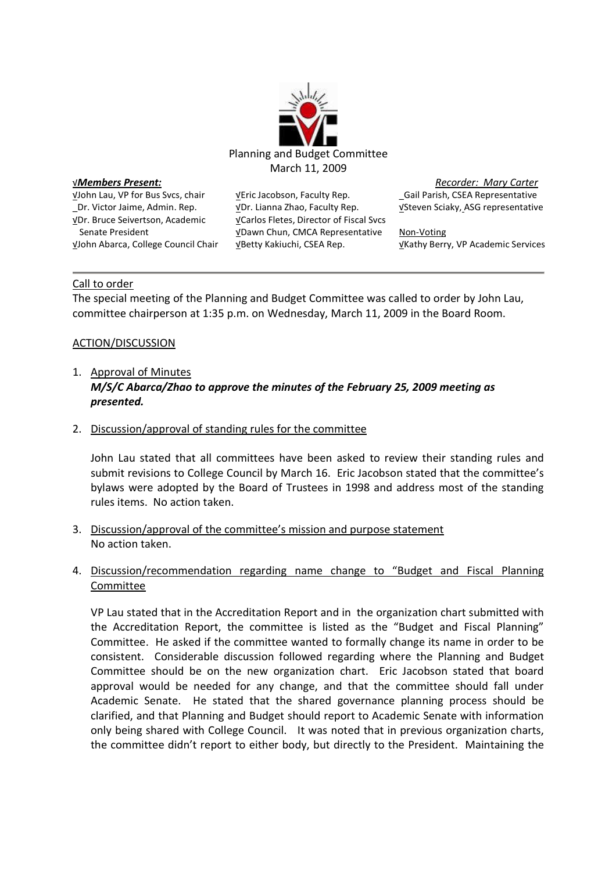

√John Lau, VP for Bus Svcs, chair \_Dr. Victor Jaime, Admin. Rep. √Dr. Bruce Seivertson, Academic Senate President √John Abarca, College Council Chair √Eric Jacobson, Faculty Rep. √Dr. Lianna Zhao, Faculty Rep. √Carlos Fletes, Director of Fiscal Svcs √Dawn Chun, CMCA Representative √Betty Kakiuchi, CSEA Rep.

√*Members Present: Recorder: Mary Carter* \_Gail Parish, CSEA Representative √Steven Sciaky, ASG representative

> Non-Voting √Kathy Berry, VP Academic Services

### Call to order

The special meeting of the Planning and Budget Committee was called to order by John Lau, committee chairperson at 1:35 p.m. on Wednesday, March 11, 2009 in the Board Room.

#### ACTION/DISCUSSION

## 1. Approval of Minutes *M/S/C Abarca/Zhao to approve the minutes of the February 25, 2009 meeting as presented.*

#### 2. Discussion/approval of standing rules for the committee

John Lau stated that all committees have been asked to review their standing rules and submit revisions to College Council by March 16. Eric Jacobson stated that the committee's bylaws were adopted by the Board of Trustees in 1998 and address most of the standing rules items. No action taken.

- 3. Discussion/approval of the committee's mission and purpose statement No action taken.
- 4. Discussion/recommendation regarding name change to "Budget and Fiscal Planning Committee

VP Lau stated that in the Accreditation Report and in the organization chart submitted with the Accreditation Report, the committee is listed as the "Budget and Fiscal Planning" Committee. He asked if the committee wanted to formally change its name in order to be consistent. Considerable discussion followed regarding where the Planning and Budget Committee should be on the new organization chart. Eric Jacobson stated that board approval would be needed for any change, and that the committee should fall under Academic Senate. He stated that the shared governance planning process should be clarified, and that Planning and Budget should report to Academic Senate with information only being shared with College Council. It was noted that in previous organization charts, the committee didn't report to either body, but directly to the President. Maintaining the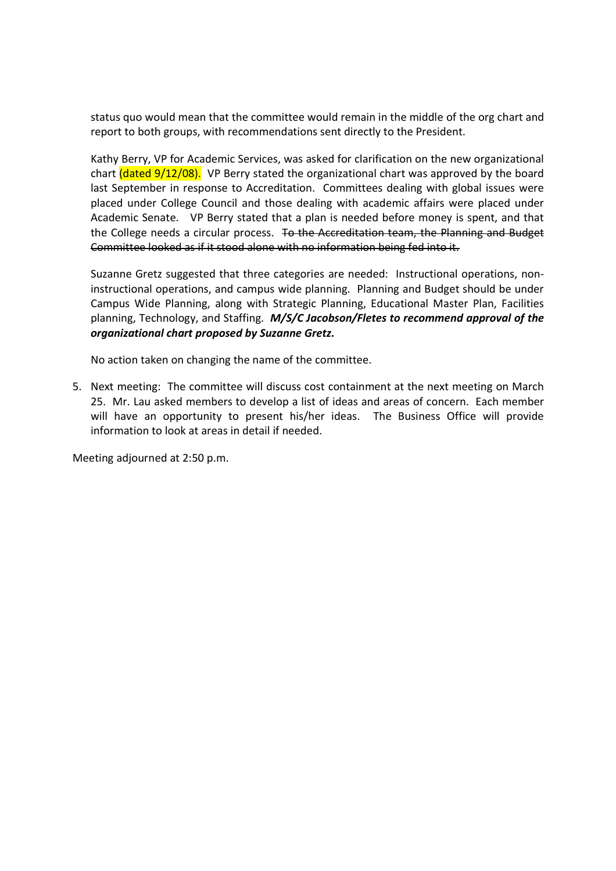status quo would mean that the committee would remain in the middle of the org chart and report to both groups, with recommendations sent directly to the President.

Kathy Berry, VP for Academic Services, was asked for clarification on the new organizational chart  $\frac{1}{\frac{1}{\sqrt{1-\frac{1}{\sqrt{1-\frac{1}{\sqrt{1-\frac{1}{\sqrt{1-\frac{1}{\sqrt{1-\frac{1}{\sqrt{1-\frac{1}{\sqrt{1-\frac{1}{\sqrt{1-\frac{1}{\sqrt{1-\frac{1}{\sqrt{1-\frac{1}{\sqrt{1-\frac{1}{\sqrt{1-\frac{1}{\sqrt{1-\frac{1}{\sqrt{1-\frac{1}{\sqrt{1-\frac{1}{\sqrt{1-\frac{1}{\sqrt{1-\frac{1}{\sqrt{1-\frac{1}{\sqrt{1-\frac{1}{\sqrt{1-\frac{1}{\sqrt{1-\frac{1}{\sqrt{1-\frac{1}{\sqrt{1-\frac$ last September in response to Accreditation. Committees dealing with global issues were placed under College Council and those dealing with academic affairs were placed under Academic Senate. VP Berry stated that a plan is needed before money is spent, and that the College needs a circular process. To the Accreditation team, the Planning and Budget Committee looked as if it stood alone with no information being fed into it.

Suzanne Gretz suggested that three categories are needed: Instructional operations, noninstructional operations, and campus wide planning. Planning and Budget should be under Campus Wide Planning, along with Strategic Planning, Educational Master Plan, Facilities planning, Technology, and Staffing. *M/S/C Jacobson/Fletes to recommend approval of the organizational chart proposed by Suzanne Gretz.*

No action taken on changing the name of the committee.

5. Next meeting: The committee will discuss cost containment at the next meeting on March 25. Mr. Lau asked members to develop a list of ideas and areas of concern. Each member will have an opportunity to present his/her ideas. The Business Office will provide information to look at areas in detail if needed.

Meeting adjourned at 2:50 p.m.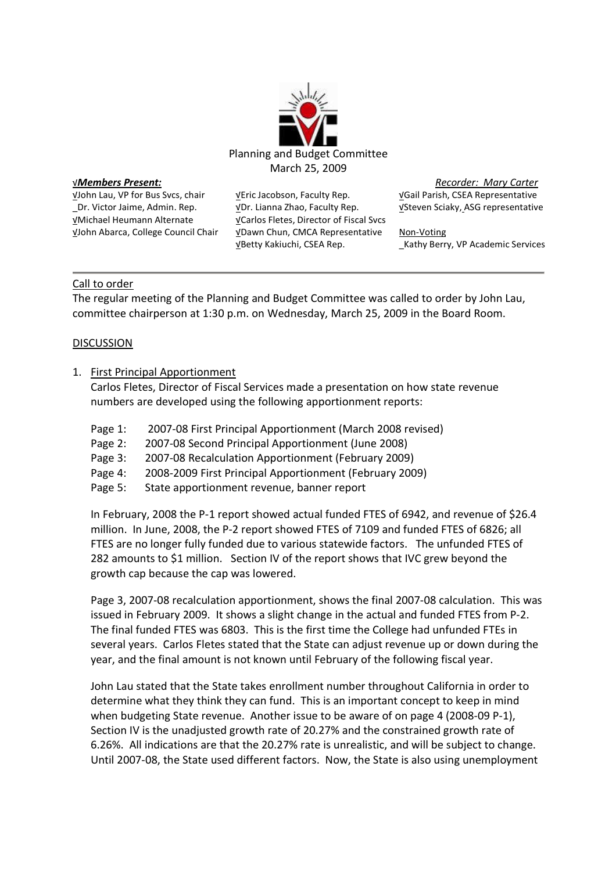

√John Lau, VP for Bus Svcs, chair \_Dr. Victor Jaime, Admin. Rep. √Michael Heumann Alternate √John Abarca, College Council Chair √Eric Jacobson, Faculty Rep. √Dr. Lianna Zhao, Faculty Rep. √Carlos Fletes, Director of Fiscal Svcs √Dawn Chun, CMCA Representative √Betty Kakiuchi, CSEA Rep.

√*Members Present: Recorder: Mary Carter* √Gail Parish, CSEA Representative √Steven Sciaky, ASG representative

> Non-Voting \_Kathy Berry, VP Academic Services

### Call to order

The regular meeting of the Planning and Budget Committee was called to order by John Lau, committee chairperson at 1:30 p.m. on Wednesday, March 25, 2009 in the Board Room.

#### DISCUSSION

### 1. First Principal Apportionment

Carlos Fletes, Director of Fiscal Services made a presentation on how state revenue numbers are developed using the following apportionment reports:

- Page 1: 2007-08 First Principal Apportionment (March 2008 revised)
- Page 2: 2007-08 Second Principal Apportionment (June 2008)
- Page 3: 2007-08 Recalculation Apportionment (February 2009)
- Page 4: 2008-2009 First Principal Apportionment (February 2009)
- Page 5: State apportionment revenue, banner report

In February, 2008 the P-1 report showed actual funded FTES of 6942, and revenue of \$26.4 million. In June, 2008, the P-2 report showed FTES of 7109 and funded FTES of 6826; all FTES are no longer fully funded due to various statewide factors. The unfunded FTES of 282 amounts to \$1 million. Section IV of the report shows that IVC grew beyond the growth cap because the cap was lowered.

Page 3, 2007-08 recalculation apportionment, shows the final 2007-08 calculation. This was issued in February 2009. It shows a slight change in the actual and funded FTES from P-2. The final funded FTES was 6803. This is the first time the College had unfunded FTEs in several years. Carlos Fletes stated that the State can adjust revenue up or down during the year, and the final amount is not known until February of the following fiscal year.

John Lau stated that the State takes enrollment number throughout California in order to determine what they think they can fund. This is an important concept to keep in mind when budgeting State revenue. Another issue to be aware of on page 4 (2008-09 P-1), Section IV is the unadjusted growth rate of 20.27% and the constrained growth rate of 6.26%. All indications are that the 20.27% rate is unrealistic, and will be subject to change. Until 2007-08, the State used different factors. Now, the State is also using unemployment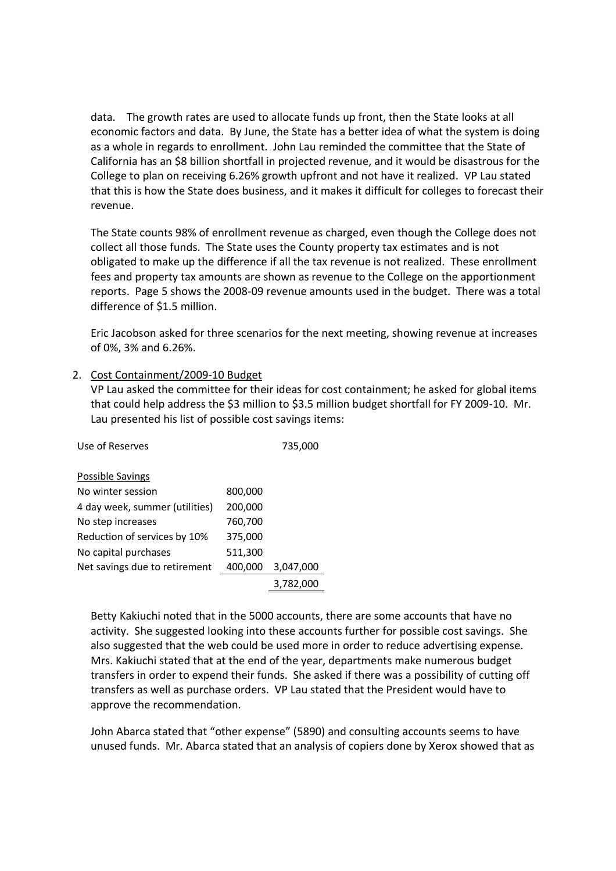data. The growth rates are used to allocate funds up front, then the State looks at all economic factors and data. By June, the State has a better idea of what the system is doing as a whole in regards to enrollment. John Lau reminded the committee that the State of California has an \$8 billion shortfall in projected revenue, and it would be disastrous for the College to plan on receiving 6.26% growth upfront and not have it realized. VP Lau stated that this is how the State does business, and it makes it difficult for colleges to forecast their revenue.

The State counts 98% of enrollment revenue as charged, even though the College does not collect all those funds. The State uses the County property tax estimates and is not obligated to make up the difference if all the tax revenue is not realized. These enrollment fees and property tax amounts are shown as revenue to the College on the apportionment reports. Page 5 shows the 2008-09 revenue amounts used in the budget. There was a total difference of \$1.5 million.

Eric Jacobson asked for three scenarios for the next meeting, showing revenue at increases of 0%, 3% and 6.26%.

## 2. Cost Containment/2009-10 Budget

VP Lau asked the committee for their ideas for cost containment; he asked for global items that could help address the \$3 million to \$3.5 million budget shortfall for FY 2009-10. Mr. Lau presented his list of possible cost savings items:

| Use of Reserves                |         | 735,000   |
|--------------------------------|---------|-----------|
| Possible Savings               |         |           |
| No winter session              | 800,000 |           |
| 4 day week, summer (utilities) | 200,000 |           |
| No step increases              | 760,700 |           |
| Reduction of services by 10%   | 375,000 |           |
| No capital purchases           | 511,300 |           |
| Net savings due to retirement  | 400,000 | 3,047,000 |
|                                |         | 3.782,000 |

Betty Kakiuchi noted that in the 5000 accounts, there are some accounts that have no activity. She suggested looking into these accounts further for possible cost savings. She also suggested that the web could be used more in order to reduce advertising expense. Mrs. Kakiuchi stated that at the end of the year, departments make numerous budget transfers in order to expend their funds. She asked if there was a possibility of cutting off transfers as well as purchase orders. VP Lau stated that the President would have to approve the recommendation.

John Abarca stated that "other expense" (5890) and consulting accounts seems to have unused funds. Mr. Abarca stated that an analysis of copiers done by Xerox showed that as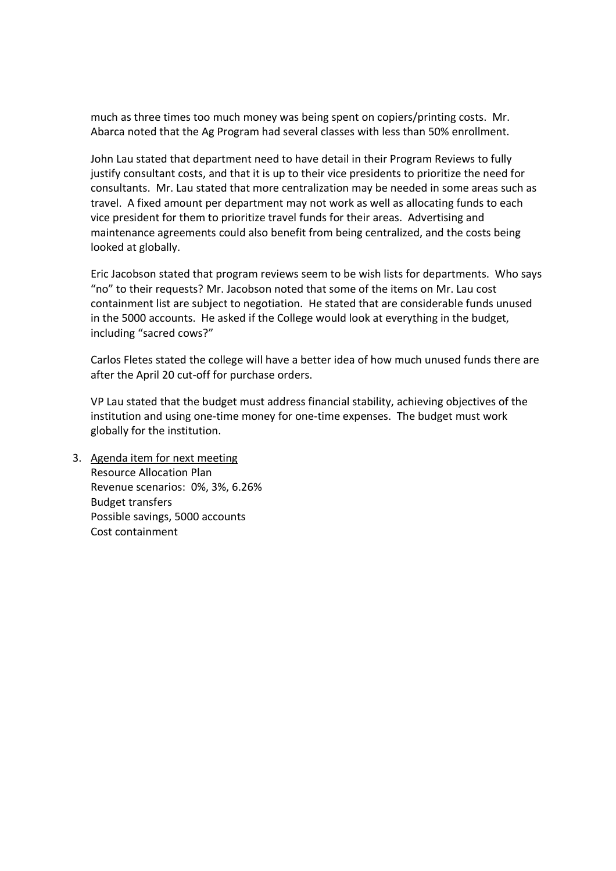much as three times too much money was being spent on copiers/printing costs. Mr. Abarca noted that the Ag Program had several classes with less than 50% enrollment.

John Lau stated that department need to have detail in their Program Reviews to fully justify consultant costs, and that it is up to their vice presidents to prioritize the need for consultants. Mr. Lau stated that more centralization may be needed in some areas such as travel. A fixed amount per department may not work as well as allocating funds to each vice president for them to prioritize travel funds for their areas. Advertising and maintenance agreements could also benefit from being centralized, and the costs being looked at globally.

Eric Jacobson stated that program reviews seem to be wish lists for departments. Who says "no" to their requests? Mr. Jacobson noted that some of the items on Mr. Lau cost containment list are subject to negotiation. He stated that are considerable funds unused in the 5000 accounts. He asked if the College would look at everything in the budget, including "sacred cows?"

Carlos Fletes stated the college will have a better idea of how much unused funds there are after the April 20 cut-off for purchase orders.

VP Lau stated that the budget must address financial stability, achieving objectives of the institution and using one-time money for one-time expenses. The budget must work globally for the institution.

3. Agenda item for next meeting Resource Allocation Plan Revenue scenarios: 0%, 3%, 6.26% Budget transfers Possible savings, 5000 accounts Cost containment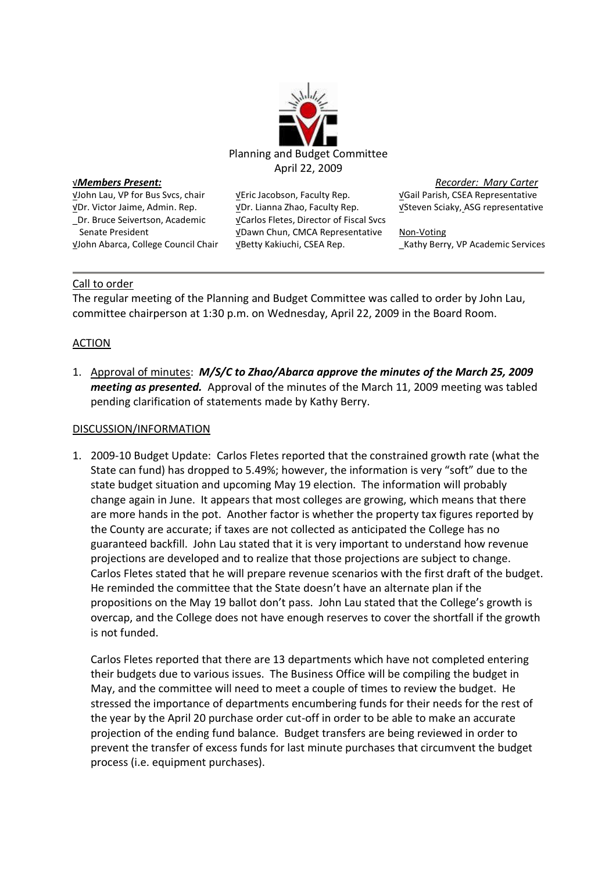

√John Lau, VP for Bus Svcs, chair √Dr. Victor Jaime, Admin. Rep. \_Dr. Bruce Seivertson, Academic Senate President √John Abarca, College Council Chair √Eric Jacobson, Faculty Rep. √Dr. Lianna Zhao, Faculty Rep. √Carlos Fletes, Director of Fiscal Svcs √Dawn Chun, CMCA Representative √Betty Kakiuchi, CSEA Rep.

√*Members Present: Recorder: Mary Carter* √Gail Parish, CSEA Representative √Steven Sciaky, ASG representative

> Non-Voting \_Kathy Berry, VP Academic Services

### Call to order

The regular meeting of the Planning and Budget Committee was called to order by John Lau, committee chairperson at 1:30 p.m. on Wednesday, April 22, 2009 in the Board Room.

### ACTION

1. Approval of minutes: *M/S/C to Zhao/Abarca approve the minutes of the March 25, 2009 meeting as presented.* Approval of the minutes of the March 11, 2009 meeting was tabled pending clarification of statements made by Kathy Berry.

#### DISCUSSION/INFORMATION

1. 2009-10 Budget Update: Carlos Fletes reported that the constrained growth rate (what the State can fund) has dropped to 5.49%; however, the information is very "soft" due to the state budget situation and upcoming May 19 election. The information will probably change again in June. It appears that most colleges are growing, which means that there are more hands in the pot. Another factor is whether the property tax figures reported by the County are accurate; if taxes are not collected as anticipated the College has no guaranteed backfill. John Lau stated that it is very important to understand how revenue projections are developed and to realize that those projections are subject to change. Carlos Fletes stated that he will prepare revenue scenarios with the first draft of the budget. He reminded the committee that the State doesn't have an alternate plan if the propositions on the May 19 ballot don't pass. John Lau stated that the College's growth is overcap, and the College does not have enough reserves to cover the shortfall if the growth is not funded.

Carlos Fletes reported that there are 13 departments which have not completed entering their budgets due to various issues. The Business Office will be compiling the budget in May, and the committee will need to meet a couple of times to review the budget. He stressed the importance of departments encumbering funds for their needs for the rest of the year by the April 20 purchase order cut-off in order to be able to make an accurate projection of the ending fund balance. Budget transfers are being reviewed in order to prevent the transfer of excess funds for last minute purchases that circumvent the budget process (i.e. equipment purchases).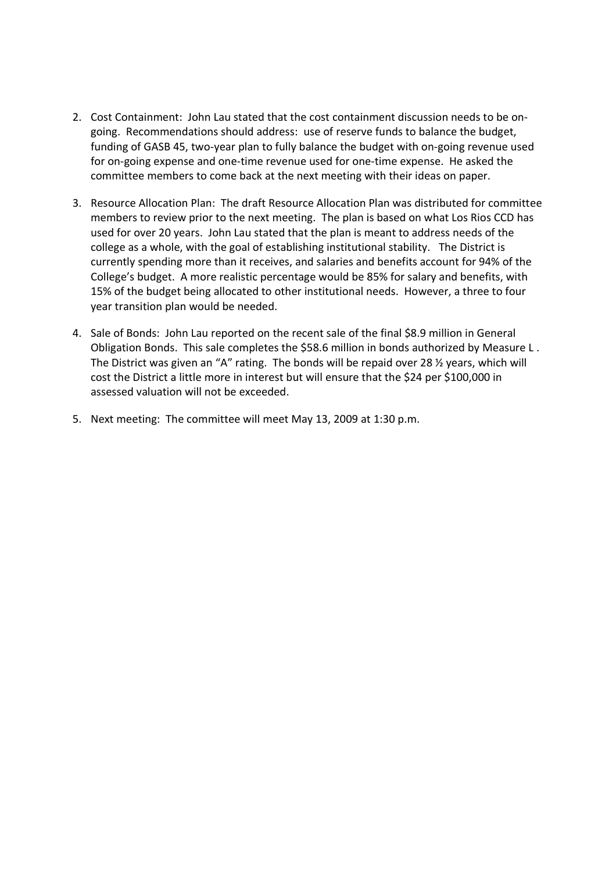- 2. Cost Containment: John Lau stated that the cost containment discussion needs to be ongoing. Recommendations should address: use of reserve funds to balance the budget, funding of GASB 45, two-year plan to fully balance the budget with on-going revenue used for on-going expense and one-time revenue used for one-time expense. He asked the committee members to come back at the next meeting with their ideas on paper.
- 3. Resource Allocation Plan: The draft Resource Allocation Plan was distributed for committee members to review prior to the next meeting. The plan is based on what Los Rios CCD has used for over 20 years. John Lau stated that the plan is meant to address needs of the college as a whole, with the goal of establishing institutional stability. The District is currently spending more than it receives, and salaries and benefits account for 94% of the College's budget. A more realistic percentage would be 85% for salary and benefits, with 15% of the budget being allocated to other institutional needs. However, a three to four year transition plan would be needed.
- 4. Sale of Bonds: John Lau reported on the recent sale of the final \$8.9 million in General Obligation Bonds. This sale completes the \$58.6 million in bonds authorized by Measure L . The District was given an "A" rating. The bonds will be repaid over 28 ½ years, which will cost the District a little more in interest but will ensure that the \$24 per \$100,000 in assessed valuation will not be exceeded.
- 5. Next meeting: The committee will meet May 13, 2009 at 1:30 p.m.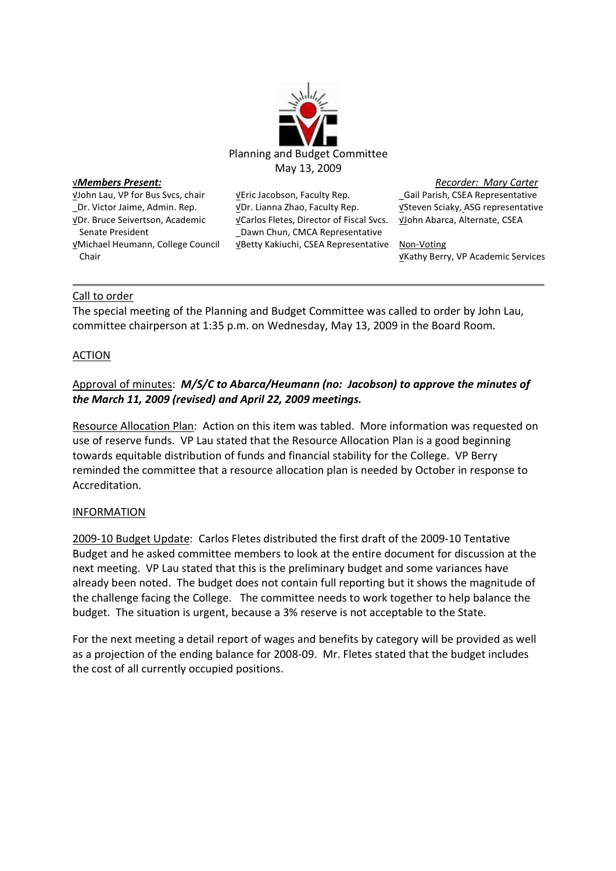

√John Lau, VP for Bus Svcs, chair \_Dr. Victor Jaime, Admin. Rep. √Dr. Bruce Seivertson, Academic Senate President √Michael Heumann, College Council Chair

√Eric Jacobson, Faculty Rep. √Dr. Lianna Zhao, Faculty Rep. √Carlos Fletes, Director of Fiscal Svcs. \_Dawn Chun, CMCA Representative VBetty Kakiuchi, CSEA Representative Non-Voting

√*Members Present: Recorder: Mary Carter* \_Gail Parish, CSEA Representative √Steven Sciaky, ASG representative √John Abarca, Alternate, CSEA

√Kathy Berry, VP Academic Services

### Call to order

The special meeting of the Planning and Budget Committee was called to order by John Lau, committee chairperson at 1:35 p.m. on Wednesday, May 13, 2009 in the Board Room.

### **ACTION**

## Approval of minutes: *M/S/C to Abarca/Heumann (no: Jacobson) to approve the minutes of the March 11, 2009 (revised) and April 22, 2009 meetings.*

Resource Allocation Plan: Action on this item was tabled. More information was requested on use of reserve funds. VP Lau stated that the Resource Allocation Plan is a good beginning towards equitable distribution of funds and financial stability for the College. VP Berry reminded the committee that a resource allocation plan is needed by October in response to Accreditation.

#### INFORMATION

2009-10 Budget Update: Carlos Fletes distributed the first draft of the 2009-10 Tentative Budget and he asked committee members to look at the entire document for discussion at the next meeting. VP Lau stated that this is the preliminary budget and some variances have already been noted. The budget does not contain full reporting but it shows the magnitude of the challenge facing the College. The committee needs to work together to help balance the budget. The situation is urgent, because a 3% reserve is not acceptable to the State.

For the next meeting a detail report of wages and benefits by category will be provided as well as a projection of the ending balance for 2008-09. Mr. Fletes stated that the budget includes the cost of all currently occupied positions.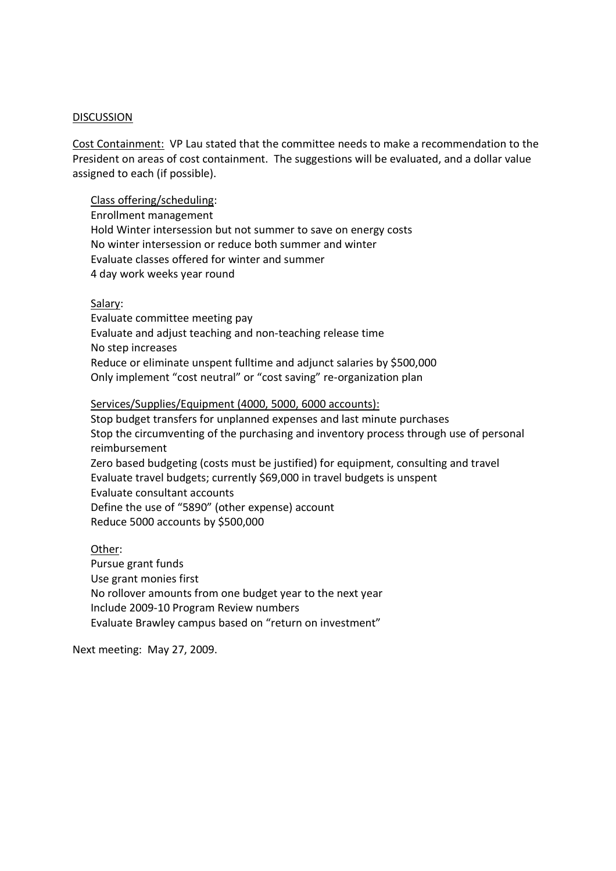#### DISCUSSION

Cost Containment: VP Lau stated that the committee needs to make a recommendation to the President on areas of cost containment. The suggestions will be evaluated, and a dollar value assigned to each (if possible).

Class offering/scheduling: Enrollment management Hold Winter intersession but not summer to save on energy costs No winter intersession or reduce both summer and winter Evaluate classes offered for winter and summer 4 day work weeks year round

#### Salary:

Evaluate committee meeting pay Evaluate and adjust teaching and non-teaching release time No step increases Reduce or eliminate unspent fulltime and adjunct salaries by \$500,000 Only implement "cost neutral" or "cost saving" re-organization plan

### Services/Supplies/Equipment (4000, 5000, 6000 accounts):

Stop budget transfers for unplanned expenses and last minute purchases Stop the circumventing of the purchasing and inventory process through use of personal reimbursement Zero based budgeting (costs must be justified) for equipment, consulting and travel Evaluate travel budgets; currently \$69,000 in travel budgets is unspent Evaluate consultant accounts Define the use of "5890" (other expense) account Reduce 5000 accounts by \$500,000

Other: Pursue grant funds Use grant monies first No rollover amounts from one budget year to the next year Include 2009-10 Program Review numbers Evaluate Brawley campus based on "return on investment"

Next meeting: May 27, 2009.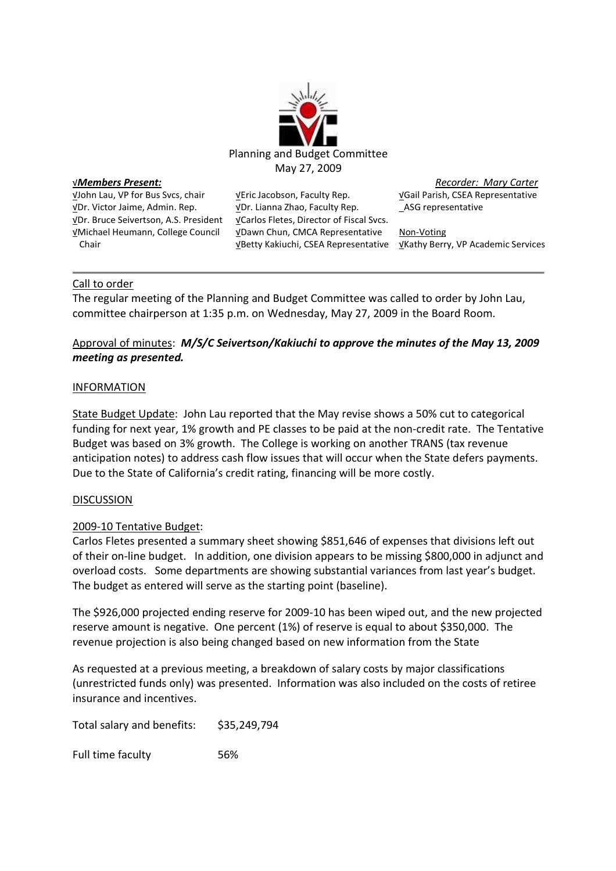

√John Lau, VP for Bus Svcs, chair √Dr. Victor Jaime, Admin. Rep. √Dr. Bruce Seivertson, A.S. President √Michael Heumann, College Council Chair

√Eric Jacobson, Faculty Rep. √Dr. Lianna Zhao, Faculty Rep. √Carlos Fletes, Director of Fiscal Svcs. √Dawn Chun, CMCA Representative <u>√</u>Betty Kakiuchi, CSEA Representative *V*Kathy Berry, VP Academic Services

√*Members Present: Recorder: Mary Carter* √Gail Parish, CSEA Representative \_ASG representative

Non-Voting

## Call to order

The regular meeting of the Planning and Budget Committee was called to order by John Lau, committee chairperson at 1:35 p.m. on Wednesday, May 27, 2009 in the Board Room.

## Approval of minutes: *M/S/C Seivertson/Kakiuchi to approve the minutes of the May 13, 2009 meeting as presented.*

#### INFORMATION

State Budget Update: John Lau reported that the May revise shows a 50% cut to categorical funding for next year, 1% growth and PE classes to be paid at the non-credit rate. The Tentative Budget was based on 3% growth. The College is working on another TRANS (tax revenue anticipation notes) to address cash flow issues that will occur when the State defers payments. Due to the State of California's credit rating, financing will be more costly.

#### DISCUSSION

#### 2009-10 Tentative Budget:

Carlos Fletes presented a summary sheet showing \$851,646 of expenses that divisions left out of their on-line budget. In addition, one division appears to be missing \$800,000 in adjunct and overload costs. Some departments are showing substantial variances from last year's budget. The budget as entered will serve as the starting point (baseline).

The \$926,000 projected ending reserve for 2009-10 has been wiped out, and the new projected reserve amount is negative. One percent (1%) of reserve is equal to about \$350,000. The revenue projection is also being changed based on new information from the State

As requested at a previous meeting, a breakdown of salary costs by major classifications (unrestricted funds only) was presented. Information was also included on the costs of retiree insurance and incentives.

Total salary and benefits: \$35,249,794

Full time faculty 56%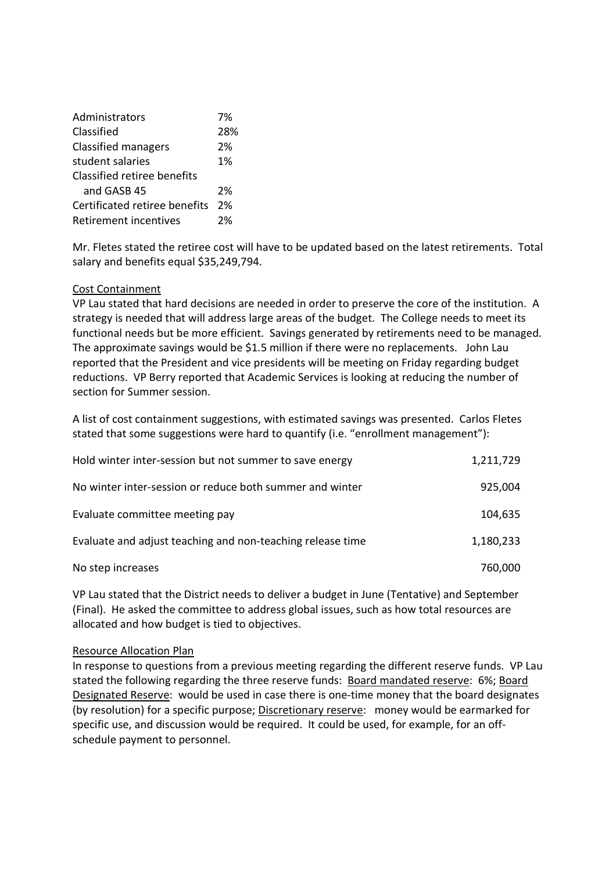| 7%  |
|-----|
| 28% |
| 2%  |
| 1%  |
|     |
| 2%  |
| 2%  |
| ን%  |
|     |

Mr. Fletes stated the retiree cost will have to be updated based on the latest retirements. Total salary and benefits equal \$35,249,794.

### Cost Containment

VP Lau stated that hard decisions are needed in order to preserve the core of the institution. A strategy is needed that will address large areas of the budget. The College needs to meet its functional needs but be more efficient. Savings generated by retirements need to be managed. The approximate savings would be \$1.5 million if there were no replacements. John Lau reported that the President and vice presidents will be meeting on Friday regarding budget reductions. VP Berry reported that Academic Services is looking at reducing the number of section for Summer session.

A list of cost containment suggestions, with estimated savings was presented. Carlos Fletes stated that some suggestions were hard to quantify (i.e. "enrollment management"):

| Hold winter inter-session but not summer to save energy    | 1,211,729 |
|------------------------------------------------------------|-----------|
| No winter inter-session or reduce both summer and winter   | 925,004   |
| Evaluate committee meeting pay                             | 104,635   |
| Evaluate and adjust teaching and non-teaching release time | 1,180,233 |
| No step increases                                          | 760,000   |

VP Lau stated that the District needs to deliver a budget in June (Tentative) and September (Final). He asked the committee to address global issues, such as how total resources are allocated and how budget is tied to objectives.

#### Resource Allocation Plan

In response to questions from a previous meeting regarding the different reserve funds. VP Lau stated the following regarding the three reserve funds: Board mandated reserve: 6%; Board Designated Reserve: would be used in case there is one-time money that the board designates (by resolution) for a specific purpose; Discretionary reserve: money would be earmarked for specific use, and discussion would be required. It could be used, for example, for an offschedule payment to personnel.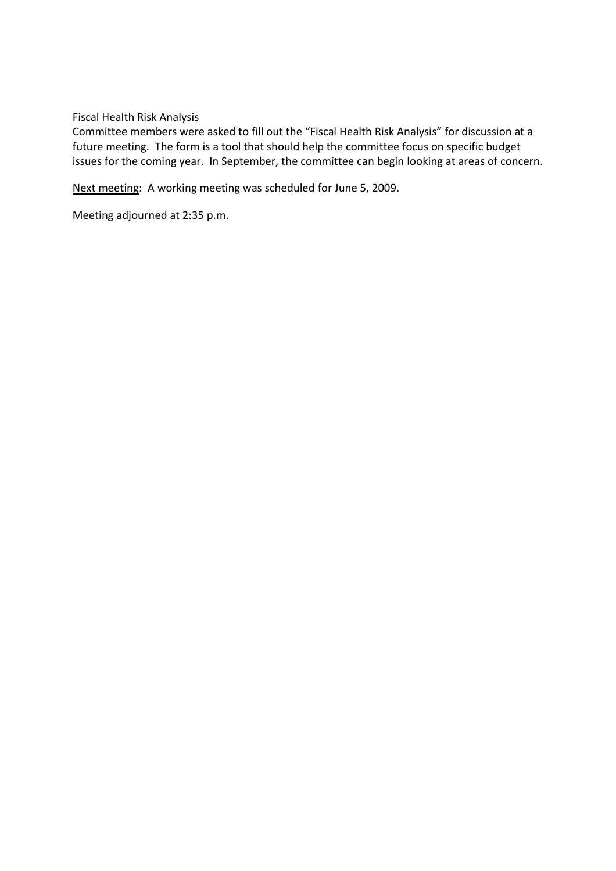Fiscal Health Risk Analysis

Committee members were asked to fill out the "Fiscal Health Risk Analysis" for discussion at a future meeting. The form is a tool that should help the committee focus on specific budget issues for the coming year. In September, the committee can begin looking at areas of concern.

Next meeting: A working meeting was scheduled for June 5, 2009.

Meeting adjourned at 2:35 p.m.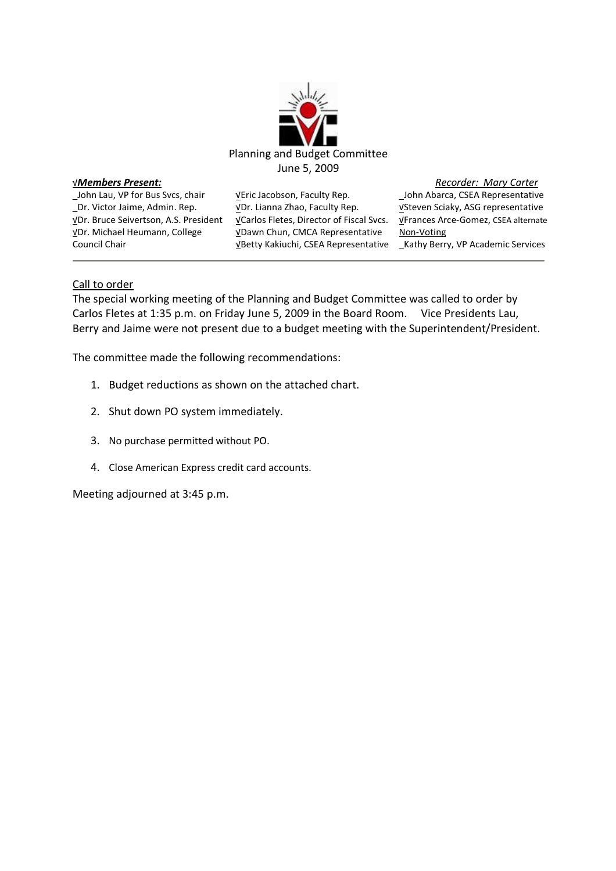

\_John Lau, VP for Bus Svcs, chair \_Dr. Victor Jaime, Admin. Rep. √Dr. Bruce Seivertson, A.S. President √Dr. Michael Heumann, College Council Chair

√Eric Jacobson, Faculty Rep. √Dr. Lianna Zhao, Faculty Rep. √Carlos Fletes, Director of Fiscal Svcs. √Dawn Chun, CMCA Representative <u>√</u>Betty Kakiuchi, CSEA Representative LKathy Berry, VP Academic Services

√*Members Present: Recorder: Mary Carter* \_John Abarca, CSEA Representative √Steven Sciaky, ASG representative √Frances Arce-Gomez, CSEA alternate Non-Voting

### Call to order

The special working meeting of the Planning and Budget Committee was called to order by Carlos Fletes at 1:35 p.m. on Friday June 5, 2009 in the Board Room. Vice Presidents Lau, Berry and Jaime were not present due to a budget meeting with the Superintendent/President.

The committee made the following recommendations:

- 1. Budget reductions as shown on the attached chart.
- 2. Shut down PO system immediately.
- 3. No purchase permitted without PO.
- 4. Close American Express credit card accounts.

Meeting adjourned at 3:45 p.m.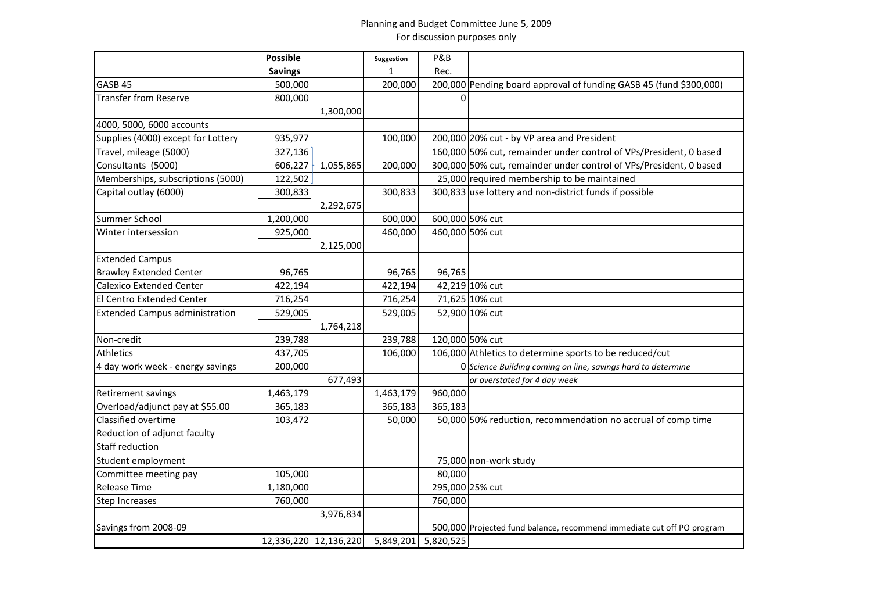# Planning and Budget Committee June 5, 2009

For discussion purposes only

|                                       | <b>Possible</b> |                       | Suggestion | P&B       |                                                                        |
|---------------------------------------|-----------------|-----------------------|------------|-----------|------------------------------------------------------------------------|
|                                       | <b>Savings</b>  |                       | 1          | Rec.      |                                                                        |
| GASB <sub>45</sub>                    | 500,000         |                       | 200,000    |           | 200,000 Pending board approval of funding GASB 45 (fund \$300,000)     |
| <b>Transfer from Reserve</b>          | 800,000         |                       |            | 0         |                                                                        |
|                                       |                 | 1,300,000             |            |           |                                                                        |
| 4000, 5000, 6000 accounts             |                 |                       |            |           |                                                                        |
| Supplies (4000) except for Lottery    | 935,977         |                       | 100,000    |           | 200,000 20% cut - by VP area and President                             |
| Travel, mileage (5000)                | 327,136         |                       |            |           | 160,000 50% cut, remainder under control of VPs/President, 0 based     |
| Consultants (5000)                    | 606,227         | 1,055,865             | 200,000    |           | 300,000 50% cut, remainder under control of VPs/President, 0 based     |
| Memberships, subscriptions (5000)     | 122,502         |                       |            |           | 25,000 required membership to be maintained                            |
| Capital outlay (6000)                 | 300,833         |                       | 300,833    |           | 300,833 use lottery and non-district funds if possible                 |
|                                       |                 | 2,292,675             |            |           |                                                                        |
| Summer School                         | 1,200,000       |                       | 600,000    |           | 600,000 50% cut                                                        |
| Winter intersession                   | 925,000         |                       | 460,000    |           | 460,000 50% cut                                                        |
|                                       |                 | 2,125,000             |            |           |                                                                        |
| <b>Extended Campus</b>                |                 |                       |            |           |                                                                        |
| <b>Brawley Extended Center</b>        | 96,765          |                       | 96,765     | 96,765    |                                                                        |
| <b>Calexico Extended Center</b>       | 422,194         |                       | 422,194    |           | 42,219 10% cut                                                         |
| El Centro Extended Center             | 716,254         |                       | 716,254    |           | 71,625 10% cut                                                         |
| <b>Extended Campus administration</b> | 529,005         |                       | 529,005    |           | 52,900 10% cut                                                         |
|                                       |                 | 1,764,218             |            |           |                                                                        |
| Non-credit                            | 239,788         |                       | 239,788    |           | 120,000 50% cut                                                        |
| Athletics                             | 437,705         |                       | 106,000    |           | 106,000 Athletics to determine sports to be reduced/cut                |
| 4 day work week - energy savings      | 200,000         |                       |            |           | O Science Building coming on line, savings hard to determine           |
|                                       |                 | 677,493               |            |           | or overstated for 4 day week                                           |
| Retirement savings                    | 1,463,179       |                       | 1,463,179  | 960,000   |                                                                        |
| Overload/adjunct pay at \$55.00       | 365,183         |                       | 365,183    | 365,183   |                                                                        |
| Classified overtime                   | 103,472         |                       | 50,000     |           | 50,000 50% reduction, recommendation no accrual of comp time           |
| Reduction of adjunct faculty          |                 |                       |            |           |                                                                        |
| Staff reduction                       |                 |                       |            |           |                                                                        |
| Student employment                    |                 |                       |            |           | 75,000 non-work study                                                  |
| Committee meeting pay                 | 105,000         |                       |            | 80,000    |                                                                        |
| Release Time                          | 1,180,000       |                       |            |           | 295,000 25% cut                                                        |
| <b>Step Increases</b>                 | 760,000         |                       |            | 760,000   |                                                                        |
|                                       |                 | 3,976,834             |            |           |                                                                        |
| Savings from 2008-09                  |                 |                       |            |           | 500,000 Projected fund balance, recommend immediate cut off PO program |
|                                       |                 | 12,336,220 12,136,220 | 5,849,201  | 5,820,525 |                                                                        |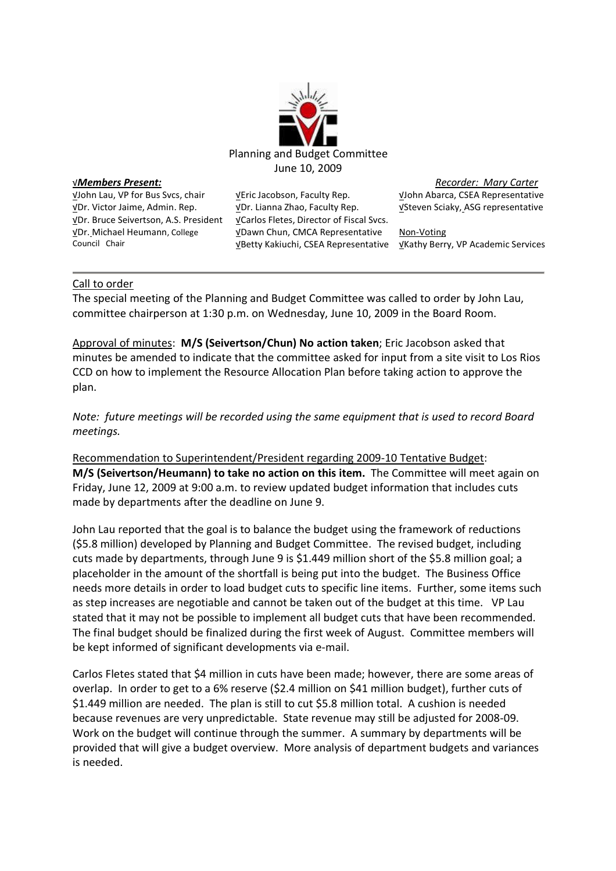

√John Lau, VP for Bus Svcs, chair √Dr. Victor Jaime, Admin. Rep. √Dr. Bruce Seivertson, A.S. President √Dr. Michael Heumann, College Council Chair

√Eric Jacobson, Faculty Rep. √Dr. Lianna Zhao, Faculty Rep. √Carlos Fletes, Director of Fiscal Svcs. √Dawn Chun, CMCA Representative <u>√</u>Betty Kakiuchi, CSEA Representative *V*Kathy Berry, VP Academic Services

√*Members Present: Recorder: Mary Carter* √John Abarca, CSEA Representative √Steven Sciaky, ASG representative

Non-Voting

### Call to order

The special meeting of the Planning and Budget Committee was called to order by John Lau, committee chairperson at 1:30 p.m. on Wednesday, June 10, 2009 in the Board Room.

Approval of minutes: **M/S (Seivertson/Chun) No action taken**; Eric Jacobson asked that minutes be amended to indicate that the committee asked for input from a site visit to Los Rios CCD on how to implement the Resource Allocation Plan before taking action to approve the plan.

*Note: future meetings will be recorded using the same equipment that is used to record Board meetings.*

Recommendation to Superintendent/President regarding 2009-10 Tentative Budget: **M/S (Seivertson/Heumann) to take no action on this item.** The Committee will meet again on Friday, June 12, 2009 at 9:00 a.m. to review updated budget information that includes cuts made by departments after the deadline on June 9.

John Lau reported that the goal is to balance the budget using the framework of reductions (\$5.8 million) developed by Planning and Budget Committee. The revised budget, including cuts made by departments, through June 9 is \$1.449 million short of the \$5.8 million goal; a placeholder in the amount of the shortfall is being put into the budget. The Business Office needs more details in order to load budget cuts to specific line items. Further, some items such as step increases are negotiable and cannot be taken out of the budget at this time. VP Lau stated that it may not be possible to implement all budget cuts that have been recommended. The final budget should be finalized during the first week of August. Committee members will be kept informed of significant developments via e-mail.

Carlos Fletes stated that \$4 million in cuts have been made; however, there are some areas of overlap. In order to get to a 6% reserve (\$2.4 million on \$41 million budget), further cuts of \$1.449 million are needed. The plan is still to cut \$5.8 million total. A cushion is needed because revenues are very unpredictable. State revenue may still be adjusted for 2008-09. Work on the budget will continue through the summer. A summary by departments will be provided that will give a budget overview. More analysis of department budgets and variances is needed.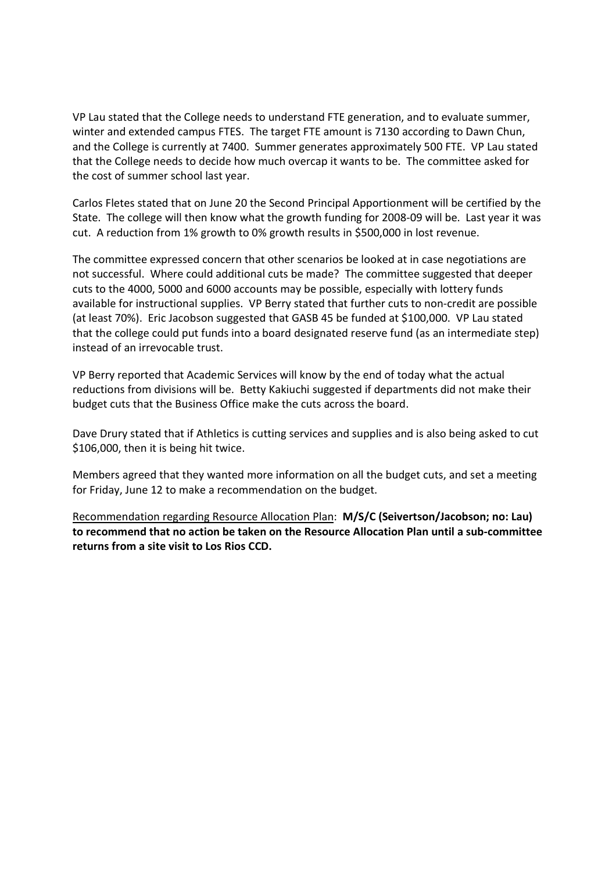VP Lau stated that the College needs to understand FTE generation, and to evaluate summer, winter and extended campus FTES. The target FTE amount is 7130 according to Dawn Chun, and the College is currently at 7400. Summer generates approximately 500 FTE. VP Lau stated that the College needs to decide how much overcap it wants to be. The committee asked for the cost of summer school last year.

Carlos Fletes stated that on June 20 the Second Principal Apportionment will be certified by the State. The college will then know what the growth funding for 2008-09 will be. Last year it was cut. A reduction from 1% growth to 0% growth results in \$500,000 in lost revenue.

The committee expressed concern that other scenarios be looked at in case negotiations are not successful. Where could additional cuts be made? The committee suggested that deeper cuts to the 4000, 5000 and 6000 accounts may be possible, especially with lottery funds available for instructional supplies. VP Berry stated that further cuts to non-credit are possible (at least 70%). Eric Jacobson suggested that GASB 45 be funded at \$100,000. VP Lau stated that the college could put funds into a board designated reserve fund (as an intermediate step) instead of an irrevocable trust.

VP Berry reported that Academic Services will know by the end of today what the actual reductions from divisions will be. Betty Kakiuchi suggested if departments did not make their budget cuts that the Business Office make the cuts across the board.

Dave Drury stated that if Athletics is cutting services and supplies and is also being asked to cut \$106,000, then it is being hit twice.

Members agreed that they wanted more information on all the budget cuts, and set a meeting for Friday, June 12 to make a recommendation on the budget.

Recommendation regarding Resource Allocation Plan: **M/S/C (Seivertson/Jacobson; no: Lau) to recommend that no action be taken on the Resource Allocation Plan until a sub-committee returns from a site visit to Los Rios CCD.**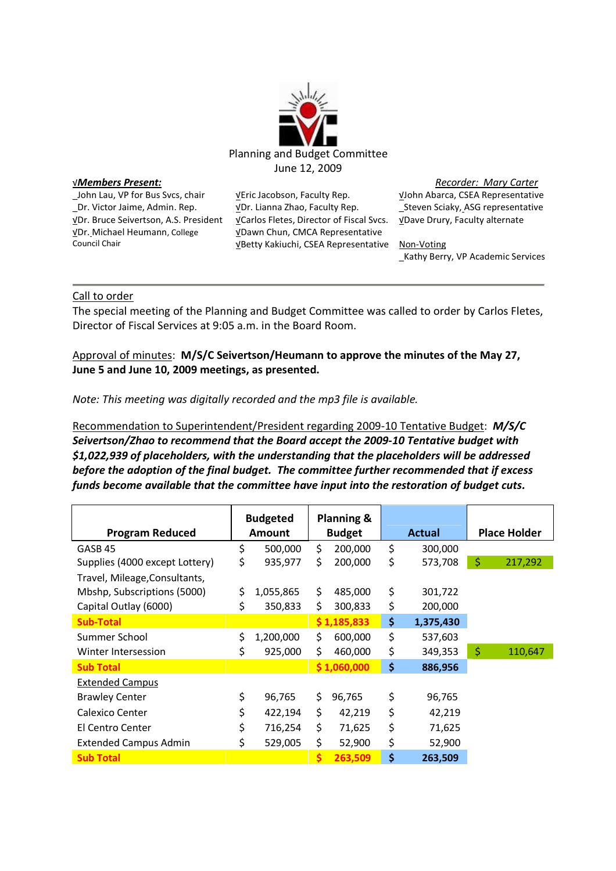

\_John Lau, VP for Bus Svcs, chair \_Dr. Victor Jaime, Admin. Rep. √Dr. Bruce Seivertson, A.S. President √Dr. Michael Heumann, College Council Chair

√Eric Jacobson, Faculty Rep. √Dr. Lianna Zhao, Faculty Rep. <u>√</u>Carlos Fletes, Director of Fiscal Svcs. VDave Drury, Faculty alternate √Dawn Chun, CMCA Representative VBetty Kakiuchi, CSEA Representative Non-Voting

√*Members Present: Recorder: Mary Carter* √John Abarca, CSEA Representative \_Steven Sciaky, ASG representative

\_Kathy Berry, VP Academic Services

### Call to order

The special meeting of the Planning and Budget Committee was called to order by Carlos Fletes, Director of Fiscal Services at 9:05 a.m. in the Board Room.

Approval of minutes: **M/S/C Seivertson/Heumann to approve the minutes of the May 27, June 5 and June 10, 2009 meetings, as presented.**

*Note: This meeting was digitally recorded and the mp3 file is available.*

Recommendation to Superintendent/President regarding 2009-10 Tentative Budget: *M/S/C Seivertson/Zhao to recommend that the Board accept the 2009-10 Tentative budget with \$1,022,939 of placeholders, with the understanding that the placeholders will be addressed before the adoption of the final budget. The committee further recommended that if excess funds become available that the committee have input into the restoration of budget cuts.*

|                                | <b>Budgeted</b> |           | <b>Planning &amp;</b> |             |               |               |    |                     |  |
|--------------------------------|-----------------|-----------|-----------------------|-------------|---------------|---------------|----|---------------------|--|
| <b>Program Reduced</b>         | <b>Amount</b>   |           | <b>Budget</b>         |             | <b>Actual</b> |               |    | <b>Place Holder</b> |  |
| GASB <sub>45</sub>             | \$              | 500,000   | \$                    | 200,000     |               | 300,000       |    |                     |  |
| Supplies (4000 except Lottery) | \$              | 935,977   | \$                    | 200,000     | \$            | 573,708       | \$ | 217,292             |  |
| Travel, Mileage, Consultants,  |                 |           |                       |             |               |               |    |                     |  |
| Mbshp, Subscriptions (5000)    | \$              | 1,055,865 | \$                    | 485,000     | \$            | 301,722       |    |                     |  |
| Capital Outlay (6000)          | \$              | 350,833   | \$                    | 300,833     |               | \$<br>200,000 |    |                     |  |
| <b>Sub-Total</b>               |                 |           |                       | \$1,185,833 |               | 1,375,430     |    |                     |  |
| Summer School                  | \$              | 1,200,000 | \$                    | 600,000     | \$            | 537,603       |    |                     |  |
| Winter Intersession            | \$              | 925,000   | \$                    | 460,000     | \$            | 349,353       | \$ | 110,647             |  |
| <b>Sub Total</b>               |                 |           |                       | \$1,060,000 | \$            | 886,956       |    |                     |  |
| <b>Extended Campus</b>         |                 |           |                       |             |               |               |    |                     |  |
| <b>Brawley Center</b>          | \$              | 96,765    | \$                    | 96,765      | \$            | 96,765        |    |                     |  |
| Calexico Center                | \$              | 422,194   | \$                    | 42,219      | \$            | 42,219        |    |                     |  |
| El Centro Center               | \$              | 716,254   | \$                    | 71,625      | \$            | 71,625        |    |                     |  |
| <b>Extended Campus Admin</b>   | \$              | 529,005   | \$                    | 52,900      | \$            | 52,900        |    |                     |  |
| <b>Sub Total</b>               |                 |           |                       | 263,509     |               | 263,509       |    |                     |  |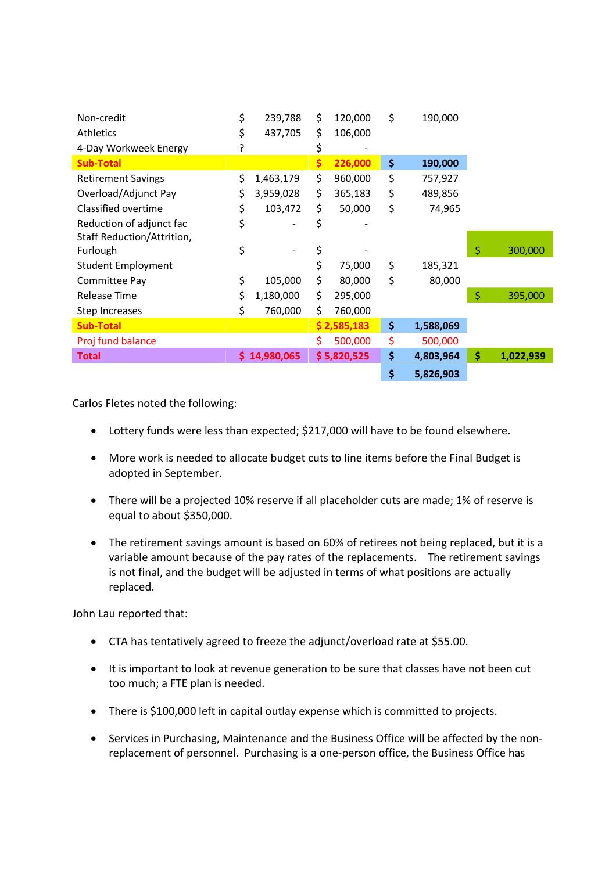| Non-credit<br><b>Athletics</b> | \$<br>\$ | 239,788<br>437,705 | \$<br>\$ | 120,000<br>106,000 | \$<br>190,000   |    |           |
|--------------------------------|----------|--------------------|----------|--------------------|-----------------|----|-----------|
| 4-Day Workweek Energy          | ŗ        |                    | \$       |                    |                 |    |           |
| <b>Sub-Total</b>               |          |                    | \$       | 226,000            | \$<br>190,000   |    |           |
| <b>Retirement Savings</b>      | \$       | 1,463,179          | \$       | 960,000            | \$<br>757,927   |    |           |
| Overload/Adjunct Pay           | \$       | 3,959,028          | \$       | 365,183            | \$<br>489,856   |    |           |
| Classified overtime            | \$       | 103,472            | \$       | 50,000             | \$<br>74,965    |    |           |
| Reduction of adjunct fac       | \$       |                    | \$       |                    |                 |    |           |
| Staff Reduction/Attrition,     |          |                    |          |                    |                 |    |           |
| Furlough                       | \$       |                    | \$       |                    |                 | Ś  | 300,000   |
| Student Employment             |          |                    | \$       | 75,000             | \$<br>185,321   |    |           |
| Committee Pay                  | \$       | 105,000            | \$       | 80,000             | \$<br>80,000    |    |           |
| Release Time                   | \$       | 1,180,000          | \$       | 295,000            |                 | \$ | 395,000   |
| <b>Step Increases</b>          | \$       | 760,000            | \$       | 760,000            |                 |    |           |
| <b>Sub-Total</b>               |          |                    |          | \$2,585,183        | \$<br>1,588,069 |    |           |
| Proj fund balance              |          |                    | \$.      | 500,000            | \$<br>500,000   |    |           |
| <b>Total</b>                   |          | \$14,980,065       |          | \$5,820,525        | \$<br>4,803,964 | \$ | 1,022,939 |
|                                |          |                    |          |                    | \$<br>5,826,903 |    |           |

Carlos Fletes noted the following:

- Lottery funds were less than expected; \$217,000 will have to be found elsewhere.
- More work is needed to allocate budget cuts to line items before the Final Budget is adopted in September.
- There will be a projected 10% reserve if all placeholder cuts are made; 1% of reserve is equal to about \$350,000.
- The retirement savings amount is based on 60% of retirees not being replaced, but it is a variable amount because of the pay rates of the replacements. The retirement savings is not final, and the budget will be adjusted in terms of what positions are actually replaced.

John Lau reported that:

- CTA has tentatively agreed to freeze the adjunct/overload rate at \$55.00.
- It is important to look at revenue generation to be sure that classes have not been cut too much; a FTE plan is needed.
- There is \$100,000 left in capital outlay expense which is committed to projects.
- Services in Purchasing, Maintenance and the Business Office will be affected by the nonreplacement of personnel. Purchasing is a one-person office, the Business Office has